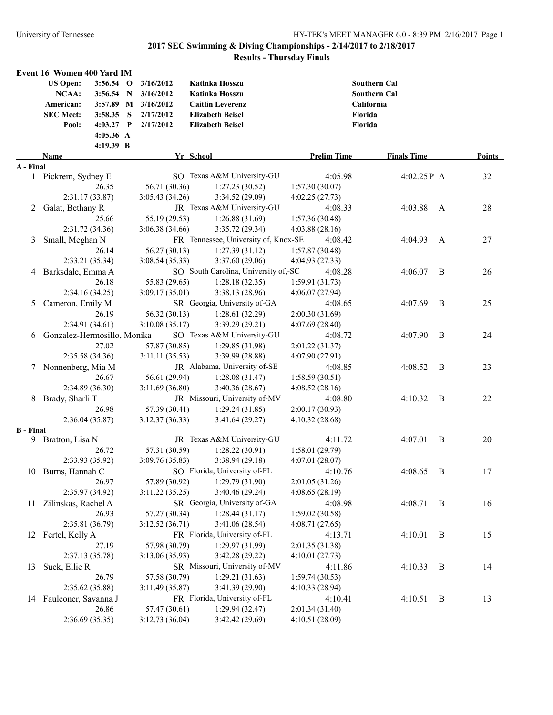|                  | Event 16 Women 400 Yard IM  |             |                     |                                      |                    |                     |                |        |
|------------------|-----------------------------|-------------|---------------------|--------------------------------------|--------------------|---------------------|----------------|--------|
|                  | <b>US Open:</b>             | $3:56.54$ O | 3/16/2012           | Katinka Hosszu                       |                    | <b>Southern Cal</b> |                |        |
|                  | <b>NCAA:</b>                | 3:56.54 N   | 3/16/2012           | Katinka Hosszu                       |                    | <b>Southern Cal</b> |                |        |
|                  | American:                   |             | 3:57.89 M 3/16/2012 | <b>Caitlin Leverenz</b>              |                    | California          |                |        |
|                  | <b>SEC Meet:</b>            | $3:58.35$ S | 2/17/2012           | <b>Elizabeth Beisel</b>              |                    | Florida             |                |        |
|                  | Pool:                       | $4:03.27$ P | 2/17/2012           | <b>Elizabeth Beisel</b>              |                    | Florida             |                |        |
|                  |                             | 4:05.36 A   |                     |                                      |                    |                     |                |        |
|                  |                             | 4:19.39 B   |                     |                                      |                    |                     |                |        |
|                  | Name                        |             |                     | Yr School                            | <b>Prelim Time</b> | <b>Finals Time</b>  |                | Points |
| A - Final        |                             |             |                     |                                      |                    |                     |                |        |
|                  | 1 Pickrem, Sydney E         |             |                     | SO Texas A&M University-GU           | 4:05.98            | 4:02.25P A          |                | 32     |
|                  |                             | 26.35       | 56.71 (30.36)       | 1:27.23(30.52)                       | 1:57.30(30.07)     |                     |                |        |
|                  | 2:31.17 (33.87)             |             | 3:05.43 (34.26)     | 3:34.52 (29.09)                      | 4:02.25(27.73)     |                     |                |        |
| 2                | Galat, Bethany R            |             |                     | JR Texas A&M University-GU           | 4:08.33            | 4:03.88             | A              | 28     |
|                  |                             | 25.66       | 55.19 (29.53)       | 1:26.88(31.69)                       | 1:57.36(30.48)     |                     |                |        |
|                  | 2:31.72 (34.36)             |             | 3:06.38(34.66)      | 3:35.72 (29.34)                      | 4:03.88(28.16)     |                     |                |        |
| 3                | Small, Meghan N             |             |                     | FR Tennessee, University of, Knox-SE | 4:08.42            | 4:04.93             | A              | 27     |
|                  |                             | 26.14       | 56.27 (30.13)       | 1:27.39(31.12)                       | 1:57.87(30.48)     |                     |                |        |
|                  | 2:33.21 (35.34)             |             | 3:08.54(35.33)      | 3:37.60(29.06)                       | 4:04.93 (27.33)    |                     |                |        |
|                  | 4 Barksdale, Emma A         |             |                     | SO South Carolina, University of,-SC | 4:08.28            | 4:06.07             | B              | 26     |
|                  |                             | 26.18       | 55.83 (29.65)       | 1:28.18(32.35)                       | 1:59.91(31.73)     |                     |                |        |
|                  | 2:34.16(34.25)              |             | 3:09.17(35.01)      | 3:38.13(28.96)                       | 4:06.07(27.94)     |                     |                |        |
| 5                | Cameron, Emily M            |             |                     | SR Georgia, University of-GA         | 4:08.65            | 4:07.69             | B              | 25     |
|                  |                             | 26.19       | 56.32 (30.13)       | 1:28.61 (32.29)                      | 2:00.30(31.69)     |                     |                |        |
|                  | 2:34.91(34.61)              |             | 3:10.08(35.17)      | 3:39.29(29.21)                       | 4:07.69(28.40)     |                     |                |        |
| 6                | Gonzalez-Hermosillo, Monika |             |                     | SO Texas A&M University-GU           | 4:08.72            | 4:07.90             | B              | 24     |
|                  |                             | 27.02       | 57.87 (30.85)       | 1:29.85 (31.98)                      | 2:01.22 (31.37)    |                     |                |        |
|                  | 2:35.58 (34.36)             |             | 3:11.11(35.53)      | 3:39.99 (28.88)                      | 4:07.90(27.91)     |                     |                |        |
|                  | 7 Nonnenberg, Mia M         |             |                     | JR Alabama, University of-SE         | 4:08.85            | 4:08.52             | B              | 23     |
|                  |                             | 26.67       | 56.61 (29.94)       | 1:28.08(31.47)                       | 1:58.59(30.51)     |                     |                |        |
|                  | 2:34.89 (36.30)             |             | 3:11.69 (36.80)     | 3:40.36(28.67)                       | 4:08.52(28.16)     |                     |                |        |
|                  | 8 Brady, Sharli T           |             |                     | JR Missouri, University of-MV        | 4:08.80            | 4:10.32             | B              | 22     |
|                  |                             | 26.98       | 57.39 (30.41)       | 1:29.24(31.85)                       | 2:00.17 (30.93)    |                     |                |        |
|                  | 2:36.04(35.87)              |             | 3:12.37(36.33)      | 3:41.64(29.27)                       | 4:10.32(28.68)     |                     |                |        |
| <b>B</b> - Final |                             |             |                     |                                      |                    |                     |                |        |
| 9                | Bratton, Lisa N             |             |                     | JR Texas A&M University-GU           | 4:11.72            | 4:07.01             | B              | 20     |
|                  |                             | 26.72       | 57.31 (30.59)       | 1:28.22 (30.91)                      | 1:58.01(29.79)     |                     |                |        |
|                  | 2:33.93 (35.92)             |             | 3:09.76(35.83)      | 3:38.94(29.18)                       | 4:07.01(28.07)     |                     |                |        |
|                  | 10 Burns, Hannah C          |             |                     | SO Florida, University of-FL         | 4:10.76            | 4:08.65             | $\, {\bf B}$   | 17     |
|                  |                             | 26.97       | 57.89 (30.92)       | 1:29.79 (31.90)                      | 2:01.05 (31.26)    |                     |                |        |
|                  | 2:35.97 (34.92)             |             | 3:11.22(35.25)      | 3:40.46 (29.24)                      | 4:08.65(28.19)     |                     |                |        |
| 11               | Zilinskas, Rachel A         |             |                     | SR Georgia, University of-GA         | 4:08.98            | 4:08.71             | $\mathbf{B}$   | 16     |
|                  |                             | 26.93       | 57.27 (30.34)       | 1:28.44(31.17)                       | 1:59.02 (30.58)    |                     |                |        |
|                  | 2:35.81 (36.79)             |             | 3:12.52(36.71)      | 3:41.06(28.54)                       | 4:08.71(27.65)     |                     |                |        |
|                  | 12 Fertel, Kelly A          |             |                     | FR Florida, University of-FL         | 4:13.71            | 4:10.01             | B              | 15     |
|                  |                             | 27.19       | 57.98 (30.79)       | 1:29.97 (31.99)                      | 2:01.35 (31.38)    |                     |                |        |
|                  | 2:37.13 (35.78)             |             | 3:13.06(35.93)      | 3:42.28(29.22)                       | 4:10.01(27.73)     |                     |                |        |
| 13               | Suek, Ellie R               |             |                     | SR Missouri, University of-MV        | 4:11.86            | 4:10.33             | $\overline{B}$ | 14     |
|                  |                             | 26.79       | 57.58 (30.79)       | 1:29.21(31.63)                       | 1:59.74(30.53)     |                     |                |        |
|                  | 2:35.62 (35.88)             |             | 3:11.49(35.87)      | 3:41.39 (29.90)                      | 4:10.33(28.94)     |                     |                |        |
|                  | 14 Faulconer, Savanna J     |             |                     | FR Florida, University of-FL         | 4:10.41            | 4:10.51             | B              | 13     |
|                  |                             | 26.86       | 57.47 (30.61)       | 1:29.94(32.47)                       | 2:01.34 (31.40)    |                     |                |        |
|                  | 2:36.69(35.35)              |             | 3:12.73 (36.04)     | 3:42.42 (29.69)                      | 4:10.51 (28.09)    |                     |                |        |
|                  |                             |             |                     |                                      |                    |                     |                |        |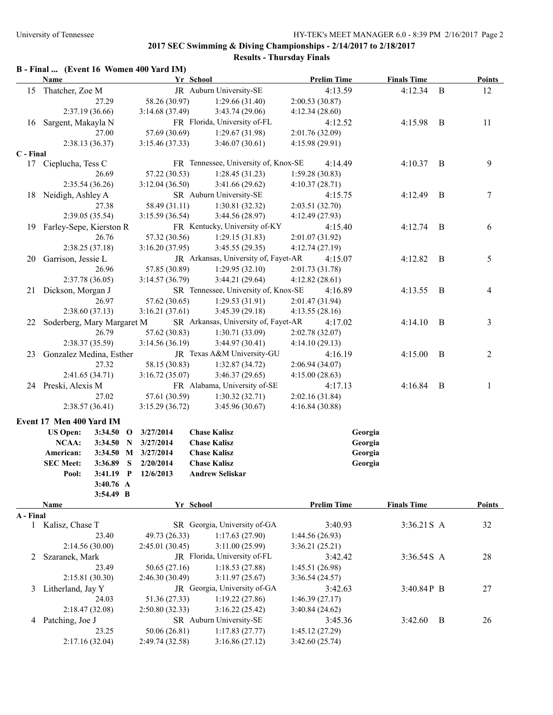# **2017 SEC Swimming & Diving Championships - 2/14/2017 to 2/18/2017**

## **Results - Thursday Finals**

|           |                            |                 |   | B - Final  (Event 16 Women 400 Yard IM) |                         |                                      |                 |                    |         |                    |                |                |
|-----------|----------------------------|-----------------|---|-----------------------------------------|-------------------------|--------------------------------------|-----------------|--------------------|---------|--------------------|----------------|----------------|
|           | Name                       |                 |   |                                         | Yr School               |                                      |                 | <b>Prelim Time</b> |         | <b>Finals Time</b> |                | <b>Points</b>  |
| 15        | Thatcher, Zoe M            |                 |   |                                         | JR Auburn University-SE |                                      |                 | 4:13.59            |         | 4:12.34            | B              | 12             |
|           |                            | 27.29           |   | 58.26 (30.97)                           |                         | 1:29.66(31.40)                       | 2:00.53(30.87)  |                    |         |                    |                |                |
|           |                            | 2:37.19(36.66)  |   | 3:14.68(37.49)                          |                         | 3:43.74(29.06)                       | 4:12.34(28.60)  |                    |         |                    |                |                |
| 16        | Sargent, Makayla N         |                 |   |                                         |                         | FR Florida, University of-FL         |                 | 4:12.52            |         | 4:15.98            | $\overline{B}$ | 11             |
|           |                            | 27.00           |   | 57.69 (30.69)                           |                         | 1:29.67(31.98)                       | 2:01.76 (32.09) |                    |         |                    |                |                |
| C - Final |                            | 2:38.13 (36.37) |   | 3:15.46(37.33)                          |                         | 3:46.07(30.61)                       | 4:15.98 (29.91) |                    |         |                    |                |                |
|           | 17 Cieplucha, Tess C       |                 |   |                                         |                         | FR Tennessee, University of, Knox-SE |                 | 4:14.49            |         | 4:10.37            | B              | 9              |
|           |                            | 26.69           |   | 57.22 (30.53)                           |                         | 1:28.45(31.23)                       | 1:59.28(30.83)  |                    |         |                    |                |                |
|           |                            | 2:35.54 (36.26) |   | 3:12.04(36.50)                          |                         | 3:41.66(29.62)                       | 4:10.37(28.71)  |                    |         |                    |                |                |
| 18        | Neidigh, Ashley A          |                 |   |                                         | SR Auburn University-SE |                                      |                 | 4:15.75            |         | 4:12.49            | B              | 7              |
|           |                            | 27.38           |   | 58.49 (31.11)                           |                         | 1:30.81(32.32)                       | 2:03.51 (32.70) |                    |         |                    |                |                |
|           |                            | 2:39.05 (35.54) |   | 3:15.59(36.54)                          |                         | 3:44.56(28.97)                       | 4:12.49(27.93)  |                    |         |                    |                |                |
| 19.       | Farley-Sepe, Kierston R    |                 |   |                                         |                         | FR Kentucky, University of-KY        |                 | 4:15.40            |         | 4:12.74            | $\overline{B}$ | 6              |
|           |                            | 26.76           |   | 57.32 (30.56)                           |                         | 1:29.15(31.83)                       | 2:01.07 (31.92) |                    |         |                    |                |                |
|           |                            | 2:38.25(37.18)  |   | 3:16.20(37.95)                          |                         | 3:45.55(29.35)                       | 4:12.74(27.19)  |                    |         |                    |                |                |
| 20        | Garrison, Jessie L         |                 |   |                                         |                         | JR Arkansas, University of, Fayet-AR |                 | 4:15.07            |         | 4:12.82            | $\overline{B}$ | 5              |
|           |                            | 26.96           |   | 57.85 (30.89)                           |                         | 1:29.95(32.10)                       | 2:01.73 (31.78) |                    |         |                    |                |                |
|           |                            | 2:37.78(36.05)  |   | 3:14.57(36.79)                          |                         | 3:44.21(29.64)                       | 4:12.82(28.61)  |                    |         |                    |                |                |
| 21        | Dickson, Morgan J          |                 |   |                                         |                         | SR Tennessee, University of, Knox-SE |                 | 4:16.89            |         | 4:13.55            | $\overline{B}$ | 4              |
|           |                            | 26.97           |   | 57.62 (30.65)                           |                         | 1:29.53(31.91)                       | 2:01.47 (31.94) |                    |         |                    |                |                |
|           |                            | 2:38.60(37.13)  |   | 3:16.21(37.61)                          |                         | 3:45.39(29.18)                       | 4:13.55(28.16)  |                    |         |                    |                |                |
| 22        | Soderberg, Mary Margaret M |                 |   |                                         |                         | SR Arkansas, University of, Fayet-AR |                 | 4:17.02            |         | 4:14.10            | $\overline{B}$ | 3              |
|           |                            | 26.79           |   | 57.62 (30.83)                           |                         | 1:30.71(33.09)                       | 2:02.78 (32.07) |                    |         |                    |                |                |
|           | 2:38.37 (35.59)            |                 |   | 3:14.56(36.19)                          |                         | 3:44.97(30.41)                       | 4:14.10(29.13)  |                    |         |                    |                |                |
| 23        | Gonzalez Medina, Esther    |                 |   |                                         |                         | JR Texas A&M University-GU           |                 | 4:16.19            |         | 4:15.00            | $\overline{B}$ | $\overline{2}$ |
|           |                            | 27.32           |   | 58.15 (30.83)                           |                         | 1:32.87(34.72)                       | 2:06.94(34.07)  |                    |         |                    |                |                |
|           |                            | 2:41.65(34.71)  |   | 3:16.72(35.07)                          |                         | 3:46.37(29.65)                       | 4:15.00(28.63)  |                    |         |                    |                |                |
|           | 24 Preski, Alexis M        |                 |   |                                         |                         | FR Alabama, University of-SE         |                 | 4:17.13            |         | 4:16.84            | $\overline{B}$ | 1              |
|           |                            | 27.02           |   | 57.61 (30.59)                           |                         | 1:30.32(32.71)                       | 2:02.16 (31.84) |                    |         |                    |                |                |
|           |                            | 2:38.57(36.41)  |   | 3:15.29(36.72)                          |                         | 3:45.96(30.67)                       | 4:16.84(30.88)  |                    |         |                    |                |                |
|           | Event 17 Men 400 Yard IM   |                 |   |                                         |                         |                                      |                 |                    |         |                    |                |                |
|           | <b>US Open:</b>            |                 |   | 3:34.50 O 3/27/2014                     | <b>Chase Kalisz</b>     |                                      |                 |                    | Georgia |                    |                |                |
|           | NCAA:                      | 3:34.50 N       |   | 3/27/2014                               | <b>Chase Kalisz</b>     |                                      |                 |                    | Georgia |                    |                |                |
|           | American:                  |                 |   | 3:34.50 M 3/27/2014                     | <b>Chase Kalisz</b>     |                                      |                 |                    | Georgia |                    |                |                |
|           | <b>SEC Meet:</b>           | 3:36.89         | S | 2/20/2014                               | <b>Chase Kalisz</b>     |                                      |                 |                    | Georgia |                    |                |                |
|           | Pool:                      | $3:41.19$ P     |   | 12/6/2013                               | <b>Andrew Seliskar</b>  |                                      |                 |                    |         |                    |                |                |
|           |                            | 3:40.76 A       |   |                                         |                         |                                      |                 |                    |         |                    |                |                |
|           |                            | 3:54.49 B       |   |                                         |                         |                                      |                 |                    |         |                    |                |                |
|           | Name                       |                 |   |                                         | Yr School               |                                      |                 | <b>Prelim Time</b> |         | <b>Finals Time</b> |                | <b>Points</b>  |
| A - Final |                            |                 |   |                                         |                         |                                      |                 |                    |         |                    |                |                |
|           | 1 Kalisz, Chase T          |                 |   |                                         |                         | SR Georgia, University of-GA         |                 | 3:40.93            |         | 3:36.21 S A        |                | 32             |
|           |                            | 23.40           |   | 49.73 (26.33)                           |                         | 1:17.63(27.90)                       | 1:44.56(26.93)  |                    |         |                    |                |                |
|           |                            | 2:14.56(30.00)  |   | 2:45.01 (30.45)                         |                         | 3:11.00(25.99)                       | 3:36.21(25.21)  |                    |         |                    |                |                |
| 2         | Szaranek, Mark             |                 |   |                                         |                         | JR Florida, University of-FL         |                 | 3:42.42            |         | 3:36.54S A         |                | 28             |
|           |                            | 23.49           |   | 50.65 (27.16)                           |                         | 1:18.53(27.88)                       | 1:45.51 (26.98) |                    |         |                    |                |                |
|           |                            | 2:15.81 (30.30) |   | 2:46.30(30.49)                          |                         | 3:11.97(25.67)                       | 3:36.54(24.57)  |                    |         |                    |                |                |
| 3         | Litherland, Jay Y          |                 |   |                                         |                         | JR Georgia, University of-GA         |                 | 3:42.63            |         | 3:40.84P B         |                | 27             |
|           |                            | 24.03           |   | 51.36 (27.33)                           |                         | 1:19.22(27.86)                       | 1:46.39(27.17)  |                    |         |                    |                |                |
|           |                            | 2:18.47 (32.08) |   | 2:50.80(32.33)                          |                         | 3:16.22(25.42)                       | 3:40.84(24.62)  |                    |         |                    |                |                |
| 4         | Patching, Joe J            |                 |   |                                         | SR Auburn University-SE |                                      |                 | 3:45.36            |         | 3:42.60            | $\overline{B}$ | 26             |
|           |                            | 23.25           |   | 50.06 (26.81)                           |                         | 1:17.83(27.77)                       | 1:45.12 (27.29) |                    |         |                    |                |                |
|           |                            | 2:17.16(32.04)  |   | 2:49.74 (32.58)                         |                         | 3:16.86(27.12)                       | 3:42.60(25.74)  |                    |         |                    |                |                |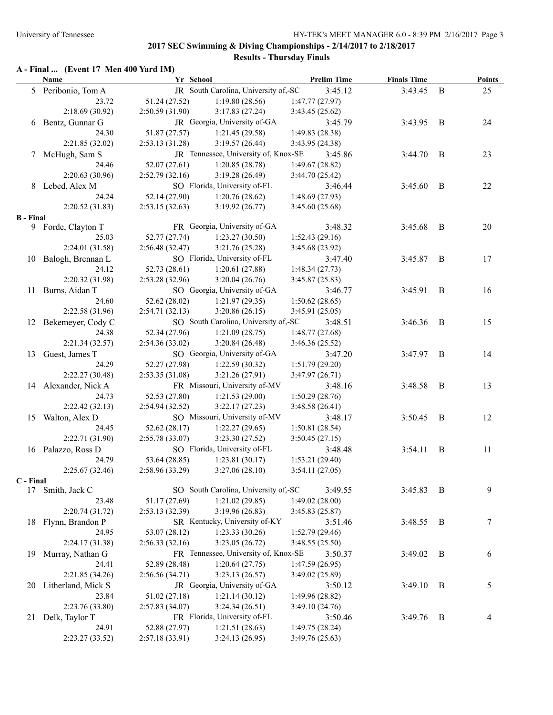#### **A - Final ... (Event 17 Men 400 Yard IM)**

| JR South Carolina, University of,-SC<br>5 Peribonio, Tom A<br>3:45.12<br>3:43.45<br>$\bf{B}$<br>25<br>23.72<br>51.24 (27.52)<br>1:19.80(28.56)<br>1:47.77(27.97)<br>2:18.69(30.92)<br>2:50.59(31.90)<br>3:17.83(27.24)<br>3:43.45(25.62)<br>6 Bentz, Gunnar G<br>JR Georgia, University of-GA<br>3:45.79<br>3:43.95<br>B<br>24<br>24.30<br>51.87 (27.57)<br>1:21.45(29.58)<br>1:49.83(28.38)<br>2:21.85(32.02)<br>3:19.57(26.44)<br>3:43.95 (24.38)<br>2:53.13(31.28)<br>JR Tennessee, University of, Knox-SE<br>7 McHugh, Sam S<br>23<br>3:45.86<br>3:44.70<br>B<br>52.07 (27.61)<br>24.46<br>1:20.85(28.78)<br>1:49.67(28.82)<br>2:20.63(30.96)<br>2:52.79(32.16)<br>3:19.28(26.49)<br>3:44.70(25.42)<br>8 Lebed, Alex M<br>SO Florida, University of-FL<br>3:46.44<br>3:45.60<br>B<br>22<br>52.14 (27.90)<br>24.24<br>1:20.76(28.62)<br>1:48.69(27.93)<br>2:20.52(31.83)<br>2:53.15(32.63)<br>3:19.92(26.77)<br>3:45.60(25.68)<br><b>B</b> - Final<br>FR Georgia, University of-GA<br>9 Forde, Clayton T<br>3:48.32<br>3:45.68<br>$\overline{B}$<br>20<br>1:23.27(30.50)<br>25.03<br>52.77 (27.74)<br>1:52.43(29.16)<br>2:24.01 (31.58)<br>2:56.48(32.47)<br>3:21.76(25.28)<br>3:45.68 (23.92)<br>SO Florida, University of-FL<br>17<br>10 Balogh, Brennan L<br>3:45.87<br>B<br>3:47.40<br>24.12<br>52.73 (28.61)<br>1:20.61(27.88)<br>1:48.34(27.73)<br>2:20.32 (31.98)<br>2:53.28(32.96)<br>3:20.04(26.76)<br>3:45.87(25.83)<br>16<br>11 Burns, Aidan T<br>SO Georgia, University of-GA<br>3:46.77<br>3:45.91<br>B<br>24.60<br>52.62 (28.02)<br>1:21.97(29.35)<br>1:50.62(28.65)<br>2:22.58(31.96)<br>2:54.71(32.13)<br>3:20.86(26.15)<br>3:45.91(25.05)<br>SO South Carolina, University of,-SC<br>3:46.36<br>15<br>12 Bekemeyer, Cody C<br>3:48.51<br>B<br>24.38<br>52.34 (27.96)<br>1:21.09(28.75)<br>1:48.77(27.68)<br>2:21.34(32.57)<br>2:54.36(33.02)<br>3:20.84(26.48)<br>3:46.36(25.52)<br>SO Georgia, University of-GA<br>Guest, James T<br>3:47.97<br>B<br>14<br>13<br>3:47.20<br>24.29<br>52.27 (27.98)<br>1:22.59(30.32)<br>1:51.79(29.20)<br>2:22.27 (30.48)<br>2:53.35(31.08)<br>3:21.26(27.91)<br>3:47.97(26.71)<br>FR Missouri, University of-MV<br>13<br>14 Alexander, Nick A<br>3:48.16<br>3:48.58<br>$\overline{B}$<br>24.73<br>52.53 (27.80)<br>1:21.53(29.00)<br>1:50.29(28.76)<br>2:22.42 (32.13)<br>2:54.94(32.52)<br>3:22.17(27.23)<br>3:48.58(26.41)<br>12<br>Walton, Alex D<br>SO Missouri, University of-MV<br>3:50.45<br>B<br>3:48.17<br>15<br>52.62 (28.17)<br>1:22.27(29.65)<br>24.45<br>1:50.81(28.54)<br>2:22.71 (31.90)<br>2:55.78(33.07)<br>3:23.30(27.52)<br>3:50.45(27.15)<br>16 Palazzo, Ross D<br>SO Florida, University of-FL<br>3:54.11<br>B<br>11<br>3:48.48<br>24.79<br>53.64 (28.85)<br>1:23.81(30.17)<br>1:53.21(29.40)<br>2:25.67(32.46)<br>2:58.96(33.29)<br>3:27.06(28.10)<br>3:54.11(27.05)<br>C - Final<br>SO South Carolina, University of,-SC<br>9<br>3:49.55<br>3:45.83<br>17 Smith, Jack C<br>$\overline{B}$<br>23.48<br>51.17 (27.69)<br>1:21.02(29.85)<br>1:49.02(28.00)<br>2:20.74(31.72)<br>2:53.13(32.39)<br>3:19.96(26.83)<br>3:45.83 (25.87)<br>SR Kentucky, University of-KY<br>18 Flynn, Brandon P<br>3:48.55<br>7<br>3:51.46<br>$\mathbf{B}$<br>53.07 (28.12)<br>24.95<br>1:23.33(30.26)<br>1:52.79 (29.46)<br>2:24.17 (31.38)<br>3:23.05(26.72)<br>2:56.33(32.16)<br>3:48.55(25.50)<br>FR Tennessee, University of, Knox-SE<br>Murray, Nathan G<br>3:50.37<br>3:49.02<br>B<br>6<br>19<br>24.41<br>52.89 (28.48)<br>1:20.64(27.75)<br>1:47.59(26.95)<br>2:21.85 (34.26)<br>3:23.13(26.57)<br>2:56.56(34.71)<br>3:49.02(25.89)<br>JR Georgia, University of-GA<br>Litherland, Mick S<br>3:49.10<br>B<br>5<br>3:50.12<br>20<br>23.84<br>51.02 (27.18)<br>1:21.14(30.12)<br>1:49.96 (28.82)<br>2:23.76 (33.80)<br>2:57.83(34.07)<br>3:24.34(26.51)<br>3:49.10 (24.76)<br>FR Florida, University of-FL<br>3:49.76<br>$\overline{B}$<br>21 Delk, Taylor T<br>3:50.46<br>4<br>24.91<br>52.88 (27.97)<br>1:21.51(28.63)<br>1:49.75(28.24)<br>2:23.27 (33.52)<br>3:24.13 (26.95)<br>3:49.76 (25.63)<br>2:57.18(33.91) | Name | Yr School | <b>Prelim Time</b> | <b>Finals Time</b> | <b>Points</b> |
|-----------------------------------------------------------------------------------------------------------------------------------------------------------------------------------------------------------------------------------------------------------------------------------------------------------------------------------------------------------------------------------------------------------------------------------------------------------------------------------------------------------------------------------------------------------------------------------------------------------------------------------------------------------------------------------------------------------------------------------------------------------------------------------------------------------------------------------------------------------------------------------------------------------------------------------------------------------------------------------------------------------------------------------------------------------------------------------------------------------------------------------------------------------------------------------------------------------------------------------------------------------------------------------------------------------------------------------------------------------------------------------------------------------------------------------------------------------------------------------------------------------------------------------------------------------------------------------------------------------------------------------------------------------------------------------------------------------------------------------------------------------------------------------------------------------------------------------------------------------------------------------------------------------------------------------------------------------------------------------------------------------------------------------------------------------------------------------------------------------------------------------------------------------------------------------------------------------------------------------------------------------------------------------------------------------------------------------------------------------------------------------------------------------------------------------------------------------------------------------------------------------------------------------------------------------------------------------------------------------------------------------------------------------------------------------------------------------------------------------------------------------------------------------------------------------------------------------------------------------------------------------------------------------------------------------------------------------------------------------------------------------------------------------------------------------------------------------------------------------------------------------------------------------------------------------------------------------------------------------------------------------------------------------------------------------------------------------------------------------------------------------------------------------------------------------------------------------------------------------------------------------------------------------------------------------------------------------------------------------------------------------------------------------------------------------------------------------------------------------------------------------------------------------------------------------------------------------------------------------------------------------------------------------------------------------------------------------------------------------------------------------------------------------------------------------------------------------|------|-----------|--------------------|--------------------|---------------|
|                                                                                                                                                                                                                                                                                                                                                                                                                                                                                                                                                                                                                                                                                                                                                                                                                                                                                                                                                                                                                                                                                                                                                                                                                                                                                                                                                                                                                                                                                                                                                                                                                                                                                                                                                                                                                                                                                                                                                                                                                                                                                                                                                                                                                                                                                                                                                                                                                                                                                                                                                                                                                                                                                                                                                                                                                                                                                                                                                                                                                                                                                                                                                                                                                                                                                                                                                                                                                                                                                                                                                                                                                                                                                                                                                                                                                                                                                                                                                                                                                                                                                   |      |           |                    |                    |               |
|                                                                                                                                                                                                                                                                                                                                                                                                                                                                                                                                                                                                                                                                                                                                                                                                                                                                                                                                                                                                                                                                                                                                                                                                                                                                                                                                                                                                                                                                                                                                                                                                                                                                                                                                                                                                                                                                                                                                                                                                                                                                                                                                                                                                                                                                                                                                                                                                                                                                                                                                                                                                                                                                                                                                                                                                                                                                                                                                                                                                                                                                                                                                                                                                                                                                                                                                                                                                                                                                                                                                                                                                                                                                                                                                                                                                                                                                                                                                                                                                                                                                                   |      |           |                    |                    |               |
|                                                                                                                                                                                                                                                                                                                                                                                                                                                                                                                                                                                                                                                                                                                                                                                                                                                                                                                                                                                                                                                                                                                                                                                                                                                                                                                                                                                                                                                                                                                                                                                                                                                                                                                                                                                                                                                                                                                                                                                                                                                                                                                                                                                                                                                                                                                                                                                                                                                                                                                                                                                                                                                                                                                                                                                                                                                                                                                                                                                                                                                                                                                                                                                                                                                                                                                                                                                                                                                                                                                                                                                                                                                                                                                                                                                                                                                                                                                                                                                                                                                                                   |      |           |                    |                    |               |
|                                                                                                                                                                                                                                                                                                                                                                                                                                                                                                                                                                                                                                                                                                                                                                                                                                                                                                                                                                                                                                                                                                                                                                                                                                                                                                                                                                                                                                                                                                                                                                                                                                                                                                                                                                                                                                                                                                                                                                                                                                                                                                                                                                                                                                                                                                                                                                                                                                                                                                                                                                                                                                                                                                                                                                                                                                                                                                                                                                                                                                                                                                                                                                                                                                                                                                                                                                                                                                                                                                                                                                                                                                                                                                                                                                                                                                                                                                                                                                                                                                                                                   |      |           |                    |                    |               |
|                                                                                                                                                                                                                                                                                                                                                                                                                                                                                                                                                                                                                                                                                                                                                                                                                                                                                                                                                                                                                                                                                                                                                                                                                                                                                                                                                                                                                                                                                                                                                                                                                                                                                                                                                                                                                                                                                                                                                                                                                                                                                                                                                                                                                                                                                                                                                                                                                                                                                                                                                                                                                                                                                                                                                                                                                                                                                                                                                                                                                                                                                                                                                                                                                                                                                                                                                                                                                                                                                                                                                                                                                                                                                                                                                                                                                                                                                                                                                                                                                                                                                   |      |           |                    |                    |               |
|                                                                                                                                                                                                                                                                                                                                                                                                                                                                                                                                                                                                                                                                                                                                                                                                                                                                                                                                                                                                                                                                                                                                                                                                                                                                                                                                                                                                                                                                                                                                                                                                                                                                                                                                                                                                                                                                                                                                                                                                                                                                                                                                                                                                                                                                                                                                                                                                                                                                                                                                                                                                                                                                                                                                                                                                                                                                                                                                                                                                                                                                                                                                                                                                                                                                                                                                                                                                                                                                                                                                                                                                                                                                                                                                                                                                                                                                                                                                                                                                                                                                                   |      |           |                    |                    |               |
|                                                                                                                                                                                                                                                                                                                                                                                                                                                                                                                                                                                                                                                                                                                                                                                                                                                                                                                                                                                                                                                                                                                                                                                                                                                                                                                                                                                                                                                                                                                                                                                                                                                                                                                                                                                                                                                                                                                                                                                                                                                                                                                                                                                                                                                                                                                                                                                                                                                                                                                                                                                                                                                                                                                                                                                                                                                                                                                                                                                                                                                                                                                                                                                                                                                                                                                                                                                                                                                                                                                                                                                                                                                                                                                                                                                                                                                                                                                                                                                                                                                                                   |      |           |                    |                    |               |
|                                                                                                                                                                                                                                                                                                                                                                                                                                                                                                                                                                                                                                                                                                                                                                                                                                                                                                                                                                                                                                                                                                                                                                                                                                                                                                                                                                                                                                                                                                                                                                                                                                                                                                                                                                                                                                                                                                                                                                                                                                                                                                                                                                                                                                                                                                                                                                                                                                                                                                                                                                                                                                                                                                                                                                                                                                                                                                                                                                                                                                                                                                                                                                                                                                                                                                                                                                                                                                                                                                                                                                                                                                                                                                                                                                                                                                                                                                                                                                                                                                                                                   |      |           |                    |                    |               |
|                                                                                                                                                                                                                                                                                                                                                                                                                                                                                                                                                                                                                                                                                                                                                                                                                                                                                                                                                                                                                                                                                                                                                                                                                                                                                                                                                                                                                                                                                                                                                                                                                                                                                                                                                                                                                                                                                                                                                                                                                                                                                                                                                                                                                                                                                                                                                                                                                                                                                                                                                                                                                                                                                                                                                                                                                                                                                                                                                                                                                                                                                                                                                                                                                                                                                                                                                                                                                                                                                                                                                                                                                                                                                                                                                                                                                                                                                                                                                                                                                                                                                   |      |           |                    |                    |               |
|                                                                                                                                                                                                                                                                                                                                                                                                                                                                                                                                                                                                                                                                                                                                                                                                                                                                                                                                                                                                                                                                                                                                                                                                                                                                                                                                                                                                                                                                                                                                                                                                                                                                                                                                                                                                                                                                                                                                                                                                                                                                                                                                                                                                                                                                                                                                                                                                                                                                                                                                                                                                                                                                                                                                                                                                                                                                                                                                                                                                                                                                                                                                                                                                                                                                                                                                                                                                                                                                                                                                                                                                                                                                                                                                                                                                                                                                                                                                                                                                                                                                                   |      |           |                    |                    |               |
|                                                                                                                                                                                                                                                                                                                                                                                                                                                                                                                                                                                                                                                                                                                                                                                                                                                                                                                                                                                                                                                                                                                                                                                                                                                                                                                                                                                                                                                                                                                                                                                                                                                                                                                                                                                                                                                                                                                                                                                                                                                                                                                                                                                                                                                                                                                                                                                                                                                                                                                                                                                                                                                                                                                                                                                                                                                                                                                                                                                                                                                                                                                                                                                                                                                                                                                                                                                                                                                                                                                                                                                                                                                                                                                                                                                                                                                                                                                                                                                                                                                                                   |      |           |                    |                    |               |
|                                                                                                                                                                                                                                                                                                                                                                                                                                                                                                                                                                                                                                                                                                                                                                                                                                                                                                                                                                                                                                                                                                                                                                                                                                                                                                                                                                                                                                                                                                                                                                                                                                                                                                                                                                                                                                                                                                                                                                                                                                                                                                                                                                                                                                                                                                                                                                                                                                                                                                                                                                                                                                                                                                                                                                                                                                                                                                                                                                                                                                                                                                                                                                                                                                                                                                                                                                                                                                                                                                                                                                                                                                                                                                                                                                                                                                                                                                                                                                                                                                                                                   |      |           |                    |                    |               |
|                                                                                                                                                                                                                                                                                                                                                                                                                                                                                                                                                                                                                                                                                                                                                                                                                                                                                                                                                                                                                                                                                                                                                                                                                                                                                                                                                                                                                                                                                                                                                                                                                                                                                                                                                                                                                                                                                                                                                                                                                                                                                                                                                                                                                                                                                                                                                                                                                                                                                                                                                                                                                                                                                                                                                                                                                                                                                                                                                                                                                                                                                                                                                                                                                                                                                                                                                                                                                                                                                                                                                                                                                                                                                                                                                                                                                                                                                                                                                                                                                                                                                   |      |           |                    |                    |               |
|                                                                                                                                                                                                                                                                                                                                                                                                                                                                                                                                                                                                                                                                                                                                                                                                                                                                                                                                                                                                                                                                                                                                                                                                                                                                                                                                                                                                                                                                                                                                                                                                                                                                                                                                                                                                                                                                                                                                                                                                                                                                                                                                                                                                                                                                                                                                                                                                                                                                                                                                                                                                                                                                                                                                                                                                                                                                                                                                                                                                                                                                                                                                                                                                                                                                                                                                                                                                                                                                                                                                                                                                                                                                                                                                                                                                                                                                                                                                                                                                                                                                                   |      |           |                    |                    |               |
|                                                                                                                                                                                                                                                                                                                                                                                                                                                                                                                                                                                                                                                                                                                                                                                                                                                                                                                                                                                                                                                                                                                                                                                                                                                                                                                                                                                                                                                                                                                                                                                                                                                                                                                                                                                                                                                                                                                                                                                                                                                                                                                                                                                                                                                                                                                                                                                                                                                                                                                                                                                                                                                                                                                                                                                                                                                                                                                                                                                                                                                                                                                                                                                                                                                                                                                                                                                                                                                                                                                                                                                                                                                                                                                                                                                                                                                                                                                                                                                                                                                                                   |      |           |                    |                    |               |
|                                                                                                                                                                                                                                                                                                                                                                                                                                                                                                                                                                                                                                                                                                                                                                                                                                                                                                                                                                                                                                                                                                                                                                                                                                                                                                                                                                                                                                                                                                                                                                                                                                                                                                                                                                                                                                                                                                                                                                                                                                                                                                                                                                                                                                                                                                                                                                                                                                                                                                                                                                                                                                                                                                                                                                                                                                                                                                                                                                                                                                                                                                                                                                                                                                                                                                                                                                                                                                                                                                                                                                                                                                                                                                                                                                                                                                                                                                                                                                                                                                                                                   |      |           |                    |                    |               |
|                                                                                                                                                                                                                                                                                                                                                                                                                                                                                                                                                                                                                                                                                                                                                                                                                                                                                                                                                                                                                                                                                                                                                                                                                                                                                                                                                                                                                                                                                                                                                                                                                                                                                                                                                                                                                                                                                                                                                                                                                                                                                                                                                                                                                                                                                                                                                                                                                                                                                                                                                                                                                                                                                                                                                                                                                                                                                                                                                                                                                                                                                                                                                                                                                                                                                                                                                                                                                                                                                                                                                                                                                                                                                                                                                                                                                                                                                                                                                                                                                                                                                   |      |           |                    |                    |               |
|                                                                                                                                                                                                                                                                                                                                                                                                                                                                                                                                                                                                                                                                                                                                                                                                                                                                                                                                                                                                                                                                                                                                                                                                                                                                                                                                                                                                                                                                                                                                                                                                                                                                                                                                                                                                                                                                                                                                                                                                                                                                                                                                                                                                                                                                                                                                                                                                                                                                                                                                                                                                                                                                                                                                                                                                                                                                                                                                                                                                                                                                                                                                                                                                                                                                                                                                                                                                                                                                                                                                                                                                                                                                                                                                                                                                                                                                                                                                                                                                                                                                                   |      |           |                    |                    |               |
|                                                                                                                                                                                                                                                                                                                                                                                                                                                                                                                                                                                                                                                                                                                                                                                                                                                                                                                                                                                                                                                                                                                                                                                                                                                                                                                                                                                                                                                                                                                                                                                                                                                                                                                                                                                                                                                                                                                                                                                                                                                                                                                                                                                                                                                                                                                                                                                                                                                                                                                                                                                                                                                                                                                                                                                                                                                                                                                                                                                                                                                                                                                                                                                                                                                                                                                                                                                                                                                                                                                                                                                                                                                                                                                                                                                                                                                                                                                                                                                                                                                                                   |      |           |                    |                    |               |
|                                                                                                                                                                                                                                                                                                                                                                                                                                                                                                                                                                                                                                                                                                                                                                                                                                                                                                                                                                                                                                                                                                                                                                                                                                                                                                                                                                                                                                                                                                                                                                                                                                                                                                                                                                                                                                                                                                                                                                                                                                                                                                                                                                                                                                                                                                                                                                                                                                                                                                                                                                                                                                                                                                                                                                                                                                                                                                                                                                                                                                                                                                                                                                                                                                                                                                                                                                                                                                                                                                                                                                                                                                                                                                                                                                                                                                                                                                                                                                                                                                                                                   |      |           |                    |                    |               |
|                                                                                                                                                                                                                                                                                                                                                                                                                                                                                                                                                                                                                                                                                                                                                                                                                                                                                                                                                                                                                                                                                                                                                                                                                                                                                                                                                                                                                                                                                                                                                                                                                                                                                                                                                                                                                                                                                                                                                                                                                                                                                                                                                                                                                                                                                                                                                                                                                                                                                                                                                                                                                                                                                                                                                                                                                                                                                                                                                                                                                                                                                                                                                                                                                                                                                                                                                                                                                                                                                                                                                                                                                                                                                                                                                                                                                                                                                                                                                                                                                                                                                   |      |           |                    |                    |               |
|                                                                                                                                                                                                                                                                                                                                                                                                                                                                                                                                                                                                                                                                                                                                                                                                                                                                                                                                                                                                                                                                                                                                                                                                                                                                                                                                                                                                                                                                                                                                                                                                                                                                                                                                                                                                                                                                                                                                                                                                                                                                                                                                                                                                                                                                                                                                                                                                                                                                                                                                                                                                                                                                                                                                                                                                                                                                                                                                                                                                                                                                                                                                                                                                                                                                                                                                                                                                                                                                                                                                                                                                                                                                                                                                                                                                                                                                                                                                                                                                                                                                                   |      |           |                    |                    |               |
|                                                                                                                                                                                                                                                                                                                                                                                                                                                                                                                                                                                                                                                                                                                                                                                                                                                                                                                                                                                                                                                                                                                                                                                                                                                                                                                                                                                                                                                                                                                                                                                                                                                                                                                                                                                                                                                                                                                                                                                                                                                                                                                                                                                                                                                                                                                                                                                                                                                                                                                                                                                                                                                                                                                                                                                                                                                                                                                                                                                                                                                                                                                                                                                                                                                                                                                                                                                                                                                                                                                                                                                                                                                                                                                                                                                                                                                                                                                                                                                                                                                                                   |      |           |                    |                    |               |
|                                                                                                                                                                                                                                                                                                                                                                                                                                                                                                                                                                                                                                                                                                                                                                                                                                                                                                                                                                                                                                                                                                                                                                                                                                                                                                                                                                                                                                                                                                                                                                                                                                                                                                                                                                                                                                                                                                                                                                                                                                                                                                                                                                                                                                                                                                                                                                                                                                                                                                                                                                                                                                                                                                                                                                                                                                                                                                                                                                                                                                                                                                                                                                                                                                                                                                                                                                                                                                                                                                                                                                                                                                                                                                                                                                                                                                                                                                                                                                                                                                                                                   |      |           |                    |                    |               |
|                                                                                                                                                                                                                                                                                                                                                                                                                                                                                                                                                                                                                                                                                                                                                                                                                                                                                                                                                                                                                                                                                                                                                                                                                                                                                                                                                                                                                                                                                                                                                                                                                                                                                                                                                                                                                                                                                                                                                                                                                                                                                                                                                                                                                                                                                                                                                                                                                                                                                                                                                                                                                                                                                                                                                                                                                                                                                                                                                                                                                                                                                                                                                                                                                                                                                                                                                                                                                                                                                                                                                                                                                                                                                                                                                                                                                                                                                                                                                                                                                                                                                   |      |           |                    |                    |               |
|                                                                                                                                                                                                                                                                                                                                                                                                                                                                                                                                                                                                                                                                                                                                                                                                                                                                                                                                                                                                                                                                                                                                                                                                                                                                                                                                                                                                                                                                                                                                                                                                                                                                                                                                                                                                                                                                                                                                                                                                                                                                                                                                                                                                                                                                                                                                                                                                                                                                                                                                                                                                                                                                                                                                                                                                                                                                                                                                                                                                                                                                                                                                                                                                                                                                                                                                                                                                                                                                                                                                                                                                                                                                                                                                                                                                                                                                                                                                                                                                                                                                                   |      |           |                    |                    |               |
|                                                                                                                                                                                                                                                                                                                                                                                                                                                                                                                                                                                                                                                                                                                                                                                                                                                                                                                                                                                                                                                                                                                                                                                                                                                                                                                                                                                                                                                                                                                                                                                                                                                                                                                                                                                                                                                                                                                                                                                                                                                                                                                                                                                                                                                                                                                                                                                                                                                                                                                                                                                                                                                                                                                                                                                                                                                                                                                                                                                                                                                                                                                                                                                                                                                                                                                                                                                                                                                                                                                                                                                                                                                                                                                                                                                                                                                                                                                                                                                                                                                                                   |      |           |                    |                    |               |
|                                                                                                                                                                                                                                                                                                                                                                                                                                                                                                                                                                                                                                                                                                                                                                                                                                                                                                                                                                                                                                                                                                                                                                                                                                                                                                                                                                                                                                                                                                                                                                                                                                                                                                                                                                                                                                                                                                                                                                                                                                                                                                                                                                                                                                                                                                                                                                                                                                                                                                                                                                                                                                                                                                                                                                                                                                                                                                                                                                                                                                                                                                                                                                                                                                                                                                                                                                                                                                                                                                                                                                                                                                                                                                                                                                                                                                                                                                                                                                                                                                                                                   |      |           |                    |                    |               |
|                                                                                                                                                                                                                                                                                                                                                                                                                                                                                                                                                                                                                                                                                                                                                                                                                                                                                                                                                                                                                                                                                                                                                                                                                                                                                                                                                                                                                                                                                                                                                                                                                                                                                                                                                                                                                                                                                                                                                                                                                                                                                                                                                                                                                                                                                                                                                                                                                                                                                                                                                                                                                                                                                                                                                                                                                                                                                                                                                                                                                                                                                                                                                                                                                                                                                                                                                                                                                                                                                                                                                                                                                                                                                                                                                                                                                                                                                                                                                                                                                                                                                   |      |           |                    |                    |               |
|                                                                                                                                                                                                                                                                                                                                                                                                                                                                                                                                                                                                                                                                                                                                                                                                                                                                                                                                                                                                                                                                                                                                                                                                                                                                                                                                                                                                                                                                                                                                                                                                                                                                                                                                                                                                                                                                                                                                                                                                                                                                                                                                                                                                                                                                                                                                                                                                                                                                                                                                                                                                                                                                                                                                                                                                                                                                                                                                                                                                                                                                                                                                                                                                                                                                                                                                                                                                                                                                                                                                                                                                                                                                                                                                                                                                                                                                                                                                                                                                                                                                                   |      |           |                    |                    |               |
|                                                                                                                                                                                                                                                                                                                                                                                                                                                                                                                                                                                                                                                                                                                                                                                                                                                                                                                                                                                                                                                                                                                                                                                                                                                                                                                                                                                                                                                                                                                                                                                                                                                                                                                                                                                                                                                                                                                                                                                                                                                                                                                                                                                                                                                                                                                                                                                                                                                                                                                                                                                                                                                                                                                                                                                                                                                                                                                                                                                                                                                                                                                                                                                                                                                                                                                                                                                                                                                                                                                                                                                                                                                                                                                                                                                                                                                                                                                                                                                                                                                                                   |      |           |                    |                    |               |
|                                                                                                                                                                                                                                                                                                                                                                                                                                                                                                                                                                                                                                                                                                                                                                                                                                                                                                                                                                                                                                                                                                                                                                                                                                                                                                                                                                                                                                                                                                                                                                                                                                                                                                                                                                                                                                                                                                                                                                                                                                                                                                                                                                                                                                                                                                                                                                                                                                                                                                                                                                                                                                                                                                                                                                                                                                                                                                                                                                                                                                                                                                                                                                                                                                                                                                                                                                                                                                                                                                                                                                                                                                                                                                                                                                                                                                                                                                                                                                                                                                                                                   |      |           |                    |                    |               |
|                                                                                                                                                                                                                                                                                                                                                                                                                                                                                                                                                                                                                                                                                                                                                                                                                                                                                                                                                                                                                                                                                                                                                                                                                                                                                                                                                                                                                                                                                                                                                                                                                                                                                                                                                                                                                                                                                                                                                                                                                                                                                                                                                                                                                                                                                                                                                                                                                                                                                                                                                                                                                                                                                                                                                                                                                                                                                                                                                                                                                                                                                                                                                                                                                                                                                                                                                                                                                                                                                                                                                                                                                                                                                                                                                                                                                                                                                                                                                                                                                                                                                   |      |           |                    |                    |               |
|                                                                                                                                                                                                                                                                                                                                                                                                                                                                                                                                                                                                                                                                                                                                                                                                                                                                                                                                                                                                                                                                                                                                                                                                                                                                                                                                                                                                                                                                                                                                                                                                                                                                                                                                                                                                                                                                                                                                                                                                                                                                                                                                                                                                                                                                                                                                                                                                                                                                                                                                                                                                                                                                                                                                                                                                                                                                                                                                                                                                                                                                                                                                                                                                                                                                                                                                                                                                                                                                                                                                                                                                                                                                                                                                                                                                                                                                                                                                                                                                                                                                                   |      |           |                    |                    |               |
|                                                                                                                                                                                                                                                                                                                                                                                                                                                                                                                                                                                                                                                                                                                                                                                                                                                                                                                                                                                                                                                                                                                                                                                                                                                                                                                                                                                                                                                                                                                                                                                                                                                                                                                                                                                                                                                                                                                                                                                                                                                                                                                                                                                                                                                                                                                                                                                                                                                                                                                                                                                                                                                                                                                                                                                                                                                                                                                                                                                                                                                                                                                                                                                                                                                                                                                                                                                                                                                                                                                                                                                                                                                                                                                                                                                                                                                                                                                                                                                                                                                                                   |      |           |                    |                    |               |
|                                                                                                                                                                                                                                                                                                                                                                                                                                                                                                                                                                                                                                                                                                                                                                                                                                                                                                                                                                                                                                                                                                                                                                                                                                                                                                                                                                                                                                                                                                                                                                                                                                                                                                                                                                                                                                                                                                                                                                                                                                                                                                                                                                                                                                                                                                                                                                                                                                                                                                                                                                                                                                                                                                                                                                                                                                                                                                                                                                                                                                                                                                                                                                                                                                                                                                                                                                                                                                                                                                                                                                                                                                                                                                                                                                                                                                                                                                                                                                                                                                                                                   |      |           |                    |                    |               |
|                                                                                                                                                                                                                                                                                                                                                                                                                                                                                                                                                                                                                                                                                                                                                                                                                                                                                                                                                                                                                                                                                                                                                                                                                                                                                                                                                                                                                                                                                                                                                                                                                                                                                                                                                                                                                                                                                                                                                                                                                                                                                                                                                                                                                                                                                                                                                                                                                                                                                                                                                                                                                                                                                                                                                                                                                                                                                                                                                                                                                                                                                                                                                                                                                                                                                                                                                                                                                                                                                                                                                                                                                                                                                                                                                                                                                                                                                                                                                                                                                                                                                   |      |           |                    |                    |               |
|                                                                                                                                                                                                                                                                                                                                                                                                                                                                                                                                                                                                                                                                                                                                                                                                                                                                                                                                                                                                                                                                                                                                                                                                                                                                                                                                                                                                                                                                                                                                                                                                                                                                                                                                                                                                                                                                                                                                                                                                                                                                                                                                                                                                                                                                                                                                                                                                                                                                                                                                                                                                                                                                                                                                                                                                                                                                                                                                                                                                                                                                                                                                                                                                                                                                                                                                                                                                                                                                                                                                                                                                                                                                                                                                                                                                                                                                                                                                                                                                                                                                                   |      |           |                    |                    |               |
|                                                                                                                                                                                                                                                                                                                                                                                                                                                                                                                                                                                                                                                                                                                                                                                                                                                                                                                                                                                                                                                                                                                                                                                                                                                                                                                                                                                                                                                                                                                                                                                                                                                                                                                                                                                                                                                                                                                                                                                                                                                                                                                                                                                                                                                                                                                                                                                                                                                                                                                                                                                                                                                                                                                                                                                                                                                                                                                                                                                                                                                                                                                                                                                                                                                                                                                                                                                                                                                                                                                                                                                                                                                                                                                                                                                                                                                                                                                                                                                                                                                                                   |      |           |                    |                    |               |
|                                                                                                                                                                                                                                                                                                                                                                                                                                                                                                                                                                                                                                                                                                                                                                                                                                                                                                                                                                                                                                                                                                                                                                                                                                                                                                                                                                                                                                                                                                                                                                                                                                                                                                                                                                                                                                                                                                                                                                                                                                                                                                                                                                                                                                                                                                                                                                                                                                                                                                                                                                                                                                                                                                                                                                                                                                                                                                                                                                                                                                                                                                                                                                                                                                                                                                                                                                                                                                                                                                                                                                                                                                                                                                                                                                                                                                                                                                                                                                                                                                                                                   |      |           |                    |                    |               |
|                                                                                                                                                                                                                                                                                                                                                                                                                                                                                                                                                                                                                                                                                                                                                                                                                                                                                                                                                                                                                                                                                                                                                                                                                                                                                                                                                                                                                                                                                                                                                                                                                                                                                                                                                                                                                                                                                                                                                                                                                                                                                                                                                                                                                                                                                                                                                                                                                                                                                                                                                                                                                                                                                                                                                                                                                                                                                                                                                                                                                                                                                                                                                                                                                                                                                                                                                                                                                                                                                                                                                                                                                                                                                                                                                                                                                                                                                                                                                                                                                                                                                   |      |           |                    |                    |               |
|                                                                                                                                                                                                                                                                                                                                                                                                                                                                                                                                                                                                                                                                                                                                                                                                                                                                                                                                                                                                                                                                                                                                                                                                                                                                                                                                                                                                                                                                                                                                                                                                                                                                                                                                                                                                                                                                                                                                                                                                                                                                                                                                                                                                                                                                                                                                                                                                                                                                                                                                                                                                                                                                                                                                                                                                                                                                                                                                                                                                                                                                                                                                                                                                                                                                                                                                                                                                                                                                                                                                                                                                                                                                                                                                                                                                                                                                                                                                                                                                                                                                                   |      |           |                    |                    |               |
|                                                                                                                                                                                                                                                                                                                                                                                                                                                                                                                                                                                                                                                                                                                                                                                                                                                                                                                                                                                                                                                                                                                                                                                                                                                                                                                                                                                                                                                                                                                                                                                                                                                                                                                                                                                                                                                                                                                                                                                                                                                                                                                                                                                                                                                                                                                                                                                                                                                                                                                                                                                                                                                                                                                                                                                                                                                                                                                                                                                                                                                                                                                                                                                                                                                                                                                                                                                                                                                                                                                                                                                                                                                                                                                                                                                                                                                                                                                                                                                                                                                                                   |      |           |                    |                    |               |
|                                                                                                                                                                                                                                                                                                                                                                                                                                                                                                                                                                                                                                                                                                                                                                                                                                                                                                                                                                                                                                                                                                                                                                                                                                                                                                                                                                                                                                                                                                                                                                                                                                                                                                                                                                                                                                                                                                                                                                                                                                                                                                                                                                                                                                                                                                                                                                                                                                                                                                                                                                                                                                                                                                                                                                                                                                                                                                                                                                                                                                                                                                                                                                                                                                                                                                                                                                                                                                                                                                                                                                                                                                                                                                                                                                                                                                                                                                                                                                                                                                                                                   |      |           |                    |                    |               |
|                                                                                                                                                                                                                                                                                                                                                                                                                                                                                                                                                                                                                                                                                                                                                                                                                                                                                                                                                                                                                                                                                                                                                                                                                                                                                                                                                                                                                                                                                                                                                                                                                                                                                                                                                                                                                                                                                                                                                                                                                                                                                                                                                                                                                                                                                                                                                                                                                                                                                                                                                                                                                                                                                                                                                                                                                                                                                                                                                                                                                                                                                                                                                                                                                                                                                                                                                                                                                                                                                                                                                                                                                                                                                                                                                                                                                                                                                                                                                                                                                                                                                   |      |           |                    |                    |               |
|                                                                                                                                                                                                                                                                                                                                                                                                                                                                                                                                                                                                                                                                                                                                                                                                                                                                                                                                                                                                                                                                                                                                                                                                                                                                                                                                                                                                                                                                                                                                                                                                                                                                                                                                                                                                                                                                                                                                                                                                                                                                                                                                                                                                                                                                                                                                                                                                                                                                                                                                                                                                                                                                                                                                                                                                                                                                                                                                                                                                                                                                                                                                                                                                                                                                                                                                                                                                                                                                                                                                                                                                                                                                                                                                                                                                                                                                                                                                                                                                                                                                                   |      |           |                    |                    |               |
|                                                                                                                                                                                                                                                                                                                                                                                                                                                                                                                                                                                                                                                                                                                                                                                                                                                                                                                                                                                                                                                                                                                                                                                                                                                                                                                                                                                                                                                                                                                                                                                                                                                                                                                                                                                                                                                                                                                                                                                                                                                                                                                                                                                                                                                                                                                                                                                                                                                                                                                                                                                                                                                                                                                                                                                                                                                                                                                                                                                                                                                                                                                                                                                                                                                                                                                                                                                                                                                                                                                                                                                                                                                                                                                                                                                                                                                                                                                                                                                                                                                                                   |      |           |                    |                    |               |
|                                                                                                                                                                                                                                                                                                                                                                                                                                                                                                                                                                                                                                                                                                                                                                                                                                                                                                                                                                                                                                                                                                                                                                                                                                                                                                                                                                                                                                                                                                                                                                                                                                                                                                                                                                                                                                                                                                                                                                                                                                                                                                                                                                                                                                                                                                                                                                                                                                                                                                                                                                                                                                                                                                                                                                                                                                                                                                                                                                                                                                                                                                                                                                                                                                                                                                                                                                                                                                                                                                                                                                                                                                                                                                                                                                                                                                                                                                                                                                                                                                                                                   |      |           |                    |                    |               |
|                                                                                                                                                                                                                                                                                                                                                                                                                                                                                                                                                                                                                                                                                                                                                                                                                                                                                                                                                                                                                                                                                                                                                                                                                                                                                                                                                                                                                                                                                                                                                                                                                                                                                                                                                                                                                                                                                                                                                                                                                                                                                                                                                                                                                                                                                                                                                                                                                                                                                                                                                                                                                                                                                                                                                                                                                                                                                                                                                                                                                                                                                                                                                                                                                                                                                                                                                                                                                                                                                                                                                                                                                                                                                                                                                                                                                                                                                                                                                                                                                                                                                   |      |           |                    |                    |               |
|                                                                                                                                                                                                                                                                                                                                                                                                                                                                                                                                                                                                                                                                                                                                                                                                                                                                                                                                                                                                                                                                                                                                                                                                                                                                                                                                                                                                                                                                                                                                                                                                                                                                                                                                                                                                                                                                                                                                                                                                                                                                                                                                                                                                                                                                                                                                                                                                                                                                                                                                                                                                                                                                                                                                                                                                                                                                                                                                                                                                                                                                                                                                                                                                                                                                                                                                                                                                                                                                                                                                                                                                                                                                                                                                                                                                                                                                                                                                                                                                                                                                                   |      |           |                    |                    |               |
|                                                                                                                                                                                                                                                                                                                                                                                                                                                                                                                                                                                                                                                                                                                                                                                                                                                                                                                                                                                                                                                                                                                                                                                                                                                                                                                                                                                                                                                                                                                                                                                                                                                                                                                                                                                                                                                                                                                                                                                                                                                                                                                                                                                                                                                                                                                                                                                                                                                                                                                                                                                                                                                                                                                                                                                                                                                                                                                                                                                                                                                                                                                                                                                                                                                                                                                                                                                                                                                                                                                                                                                                                                                                                                                                                                                                                                                                                                                                                                                                                                                                                   |      |           |                    |                    |               |
|                                                                                                                                                                                                                                                                                                                                                                                                                                                                                                                                                                                                                                                                                                                                                                                                                                                                                                                                                                                                                                                                                                                                                                                                                                                                                                                                                                                                                                                                                                                                                                                                                                                                                                                                                                                                                                                                                                                                                                                                                                                                                                                                                                                                                                                                                                                                                                                                                                                                                                                                                                                                                                                                                                                                                                                                                                                                                                                                                                                                                                                                                                                                                                                                                                                                                                                                                                                                                                                                                                                                                                                                                                                                                                                                                                                                                                                                                                                                                                                                                                                                                   |      |           |                    |                    |               |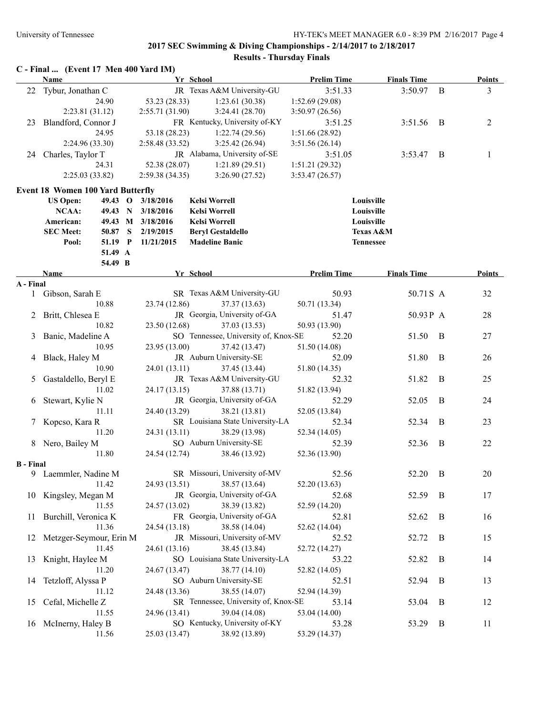|                  | C - Final  (Event 17 Men 400 Yard IM)    |                |                                               |                    |                      |   |               |
|------------------|------------------------------------------|----------------|-----------------------------------------------|--------------------|----------------------|---|---------------|
|                  | <b>Name</b>                              | Yr School      |                                               | <b>Prelim Time</b> | <b>Finals Time</b>   |   | <b>Points</b> |
|                  | 22 Tybur, Jonathan C                     |                | JR Texas A&M University-GU                    | 3:51.33            | 3:50.97              | B | 3             |
|                  | 24.90                                    | 53.23 (28.33)  | 1:23.61(30.38)                                | 1:52.69(29.08)     |                      |   |               |
|                  | 2:23.81(31.12)                           | 2:55.71(31.90) | 3:24.41(28.70)                                | 3:50.97(26.56)     |                      |   |               |
| 23               | Blandford, Connor J                      |                | FR Kentucky, University of-KY                 | 3:51.25            | 3:51.56              | B | 2             |
|                  | 24.95                                    | 53.18 (28.23)  | 1:22.74(29.56)                                | 1:51.66(28.92)     |                      |   |               |
|                  | 2:24.96 (33.30)                          | 2:58.48(33.52) | 3:25.42(26.94)                                | 3:51.56(26.14)     |                      |   |               |
|                  | 24 Charles, Taylor T                     |                | JR Alabama, University of-SE                  | 3:51.05            | 3:53.47              | B | 1             |
|                  | 24.31                                    | 52.38 (28.07)  | 1:21.89(29.51)                                | 1:51.21 (29.32)    |                      |   |               |
|                  | 2:25.03 (33.82)                          | 2:59.38(34.35) | 3:26.90(27.52)                                | 3:53.47(26.57)     |                      |   |               |
|                  | <b>Event 18 Women 100 Yard Butterfly</b> |                |                                               |                    |                      |   |               |
|                  | <b>US Open:</b><br>$49.43\quad O$        | 3/18/2016      | <b>Kelsi Worrell</b>                          |                    | Louisville           |   |               |
|                  | NCAA:<br>49.43 N                         | 3/18/2016      | <b>Kelsi Worrell</b>                          |                    | Louisville           |   |               |
|                  | American:<br>49.43 M 3/18/2016           |                | <b>Kelsi Worrell</b>                          |                    | Louisville           |   |               |
|                  | <b>SEC Meet:</b><br>50.87<br>S           | 2/19/2015      | <b>Beryl Gestaldello</b>                      |                    | <b>Texas A&amp;M</b> |   |               |
|                  | 51.19 P<br>Pool:                         | 11/21/2015     | <b>Madeline Banic</b>                         |                    | <b>Tennessee</b>     |   |               |
|                  | 51.49 A                                  |                |                                               |                    |                      |   |               |
|                  | 54.49 B                                  |                |                                               |                    |                      |   |               |
| A - Final        | Name                                     | Yr School      |                                               | <b>Prelim Time</b> | <b>Finals Time</b>   |   | Points        |
| 1                | Gibson, Sarah E                          |                | SR Texas A&M University-GU                    | 50.93              | 50.71 S A            |   | 32            |
|                  | 10.88                                    | 23.74 (12.86)  | 37.37 (13.63)                                 | 50.71 (13.34)      |                      |   |               |
| 2                | Britt, Chlesea E                         |                | JR Georgia, University of-GA                  | 51.47              | 50.93P A             |   | 28            |
|                  | 10.82                                    | 23.50 (12.68)  | 37.03 (13.53)                                 | 50.93 (13.90)      |                      |   |               |
| 3                | Banic, Madeline A                        |                | SO Tennessee, University of, Knox-SE          | 52.20              | 51.50                | B | 27            |
|                  | 10.95                                    | 23.95 (13.00)  | 37.42 (13.47)                                 | 51.50 (14.08)      |                      |   |               |
|                  | Black, Haley M                           |                | JR Auburn University-SE                       | 52.09              | 51.80                | B | 26            |
| 4                | 10.90                                    | 24.01 (13.11)  | 37.45 (13.44)                                 | 51.80 (14.35)      |                      |   |               |
|                  |                                          |                | JR Texas A&M University-GU                    |                    |                      | B |               |
| 5                | Gastaldello, Beryl E<br>11.02            |                |                                               | 52.32              | 51.82                |   | 25            |
|                  |                                          | 24.17 (13.15)  | 37.88 (13.71)<br>JR Georgia, University of-GA | 51.82 (13.94)      |                      | B |               |
| 6                | Stewart, Kylie N                         |                | 38.21 (13.81)                                 | 52.29              | 52.05                |   | 24            |
|                  | 11.11                                    | 24.40 (13.29)  | SR Louisiana State University-LA              | 52.05 (13.84)      |                      |   |               |
|                  | Kopcso, Kara R                           |                |                                               | 52.34              | 52.34                | B | 23            |
|                  | 11.20                                    | 24.31 (13.11)  | 38.29 (13.98)                                 | 52.34 (14.05)      |                      |   |               |
|                  | 8 Nero, Bailey M                         |                | SO Auburn University-SE                       | 52.39              | 52.36                | B | 22            |
|                  | 11.80                                    | 24.54 (12.74)  | 38.46 (13.92)                                 | 52.36 (13.90)      |                      |   |               |
| <b>B</b> - Final | 9 Laemmler, Nadine M                     |                | SR Missouri, University of-MV                 | 52.56              | 52.20                | B | 20            |
|                  | 11.42                                    | 24.93 (13.51)  | 38.57 (13.64)                                 | 52.20 (13.63)      |                      |   |               |
|                  | 10 Kingsley, Megan M                     |                | JR Georgia, University of-GA                  | 52.68              | 52.59                | B | 17            |
|                  | 11.55                                    | 24.57 (13.02)  | 38.39 (13.82)                                 | 52.59 (14.20)      |                      |   |               |
| 11               | Burchill, Veronica K                     |                | FR Georgia, University of-GA                  | 52.81              | 52.62                | B | 16            |
|                  | 11.36                                    | 24.54 (13.18)  | 38.58 (14.04)                                 | 52.62 (14.04)      |                      |   |               |
| 12               | Metzger-Seymour, Erin M                  |                | JR Missouri, University of-MV                 | 52.52              | 52.72                | B | 15            |
|                  | 11.45                                    | 24.61 (13.16)  | 38.45 (13.84)                                 | 52.72 (14.27)      |                      |   |               |
|                  | Knight, Haylee M                         |                | SO Louisiana State University-LA              |                    |                      | B | 14            |
| 13               |                                          |                |                                               | 53.22              | 52.82                |   |               |
|                  | 11.20                                    | 24.67 (13.47)  | 38.77 (14.10)                                 | 52.82 (14.05)      |                      |   |               |
| 14               | Tetzloff, Alyssa P                       |                | SO Auburn University-SE                       | 52.51              | 52.94                | B | 13            |
|                  | 11.12                                    | 24.48 (13.36)  | 38.55 (14.07)                                 | 52.94 (14.39)      |                      |   |               |
| 15               | Cefal, Michelle Z                        |                | SR Tennessee, University of, Knox-SE          | 53.14              | 53.04                | B | 12            |
|                  | 11.55                                    | 24.96 (13.41)  | 39.04 (14.08)                                 | 53.04 (14.00)      |                      |   |               |
|                  | 16 McInerny, Haley B                     |                | SO Kentucky, University of-KY                 | 53.28              | 53.29                | B | 11            |
|                  | 11.56                                    | 25.03 (13.47)  | 38.92 (13.89)                                 | 53.29 (14.37)      |                      |   |               |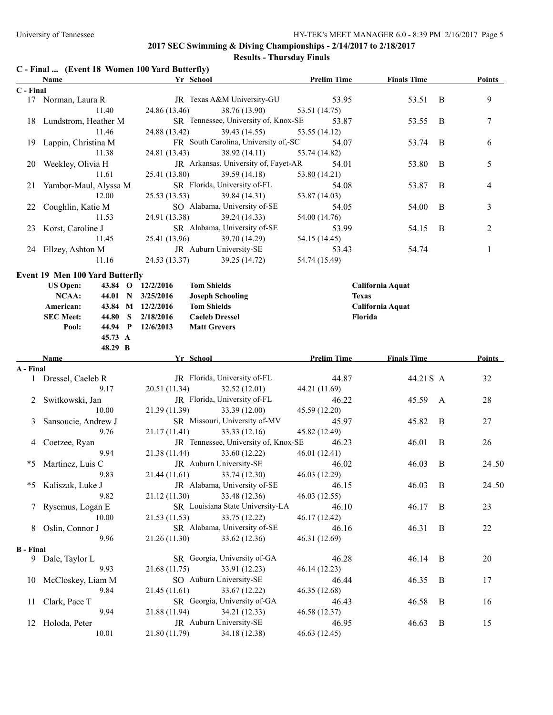### **2017 SEC Swimming & Diving Championships - 2/14/2017 to 2/18/2017**

# **Results - Thursday Finals**

| C - Final  (Event 18 Women 100 Yard Butterfly) |  |  |  |  |
|------------------------------------------------|--|--|--|--|
|------------------------------------------------|--|--|--|--|

|                  | Name                                   |         |                   | Yr School                            | <b>Prelim Time</b> | <b>Finals Time</b> |              | <b>Points</b>  |
|------------------|----------------------------------------|---------|-------------------|--------------------------------------|--------------------|--------------------|--------------|----------------|
| C - Final        |                                        |         |                   |                                      |                    |                    |              |                |
|                  | 17 Norman, Laura R                     |         |                   | JR Texas A&M University-GU           | 53.95              | 53.51              | B            | 9              |
|                  |                                        | 11.40   | 24.86 (13.46)     | 38.76 (13.90)                        | 53.51 (14.75)      |                    |              |                |
|                  | 18 Lundstrom, Heather M                |         |                   | SR Tennessee, University of, Knox-SE | 53.87              | 53.55              | B            | 7              |
|                  |                                        | 11.46   | 24.88 (13.42)     | 39.43 (14.55)                        | 53.55 (14.12)      |                    |              |                |
| 19               | Lappin, Christina M                    |         |                   | FR South Carolina, University of,-SC | 54.07              | 53.74              | B            | 6              |
|                  |                                        | 11.38   | 24.81 (13.43)     | 38.92(14.11)                         | 53.74 (14.82)      |                    |              |                |
| 20               | Weekley, Olivia H                      |         |                   | JR Arkansas, University of, Fayet-AR | 54.01              | 53.80              | B            | 5              |
|                  |                                        | 11.61   | 25.41 (13.80)     | 39.59(14.18)                         | 53.80 (14.21)      |                    |              |                |
| 21               | Yambor-Maul, Alyssa M                  |         |                   | SR Florida, University of-FL         | 54.08              | 53.87              | B            | 4              |
|                  |                                        | 12.00   | 25.53 (13.53)     | 39.84 (14.31)                        | 53.87 (14.03)      |                    |              |                |
| 22               | Coughlin, Katie M                      |         |                   | SO Alabama, University of-SE         | 54.05              | 54.00              | B            | 3              |
|                  |                                        | 11.53   | 24.91 (13.38)     | 39.24 (14.33)                        | 54.00 (14.76)      |                    |              |                |
| 23               | Korst, Caroline J                      |         |                   | SR Alabama, University of-SE         | 53.99              | 54.15              | B            | $\overline{c}$ |
|                  |                                        | 11.45   | 25.41 (13.96)     | 39.70 (14.29)                        | 54.15 (14.45)      |                    |              |                |
|                  | 24 Ellzey, Ashton M                    |         |                   | JR Auburn University-SE              | 53.43              | 54.74              |              | 1              |
|                  |                                        | 11.16   | 24.53 (13.37)     | 39.25 (14.72)                        | 54.74 (15.49)      |                    |              |                |
|                  | <b>Event 19 Men 100 Yard Butterfly</b> |         |                   |                                      |                    |                    |              |                |
|                  | <b>US Open:</b>                        |         | 43.84 O 12/2/2016 | <b>Tom Shields</b>                   |                    | California Aquat   |              |                |
|                  | NCAA:                                  |         | 44.01 N 3/25/2016 | <b>Joseph Schooling</b>              | <b>Texas</b>       |                    |              |                |
|                  | American:                              |         | 43.84 M 12/2/2016 | <b>Tom Shields</b>                   |                    | California Aquat   |              |                |
|                  | <b>SEC Meet:</b>                       | 44.80 S | 2/18/2016         | <b>Caeleb Dressel</b>                |                    | Florida            |              |                |
|                  | Pool:                                  | 44.94 P | 12/6/2013         | <b>Matt Grevers</b>                  |                    |                    |              |                |
|                  |                                        | 45.73 A |                   |                                      |                    |                    |              |                |
|                  |                                        | 48.29 B |                   |                                      |                    |                    |              |                |
|                  | Name                                   |         |                   | Yr School                            | <b>Prelim Time</b> | <b>Finals Time</b> |              | <b>Points</b>  |
| A - Final        |                                        |         |                   |                                      |                    |                    |              |                |
|                  | 1 Dressel, Caeleb R                    |         |                   | JR Florida, University of-FL         | 44.87              | 44.21 S A          |              | 32             |
|                  |                                        | 9.17    | 20.51 (11.34)     | 32.52(12.01)                         | 44.21 (11.69)      |                    |              |                |
| 2                | Switkowski, Jan                        |         |                   | JR Florida, University of-FL         | 46.22              | 45.59              | $\mathbf{A}$ | 28             |
|                  |                                        | 10.00   | 21.39 (11.39)     | 33.39 (12.00)                        | 45.59 (12.20)      |                    |              |                |
| 3                | Sansoucie, Andrew J                    |         |                   | SR Missouri, University of-MV        | 45.97              | 45.82              | B            | 27             |
|                  |                                        | 9.76    | 21.17(11.41)      | 33.33(12.16)                         | 45.82 (12.49)      |                    |              |                |
| 4                | Coetzee, Ryan                          |         |                   | JR Tennessee, University of, Knox-SE | 46.23              | 46.01              | $\bf{B}$     | 26             |
|                  |                                        | 9.94    | 21.38 (11.44)     | 33.60 (12.22)                        | 46.01 (12.41)      |                    |              |                |
| *5               | Martinez, Luis C                       |         |                   | JR Auburn University-SE              | 46.02              | 46.03              | B            | 24.50          |
|                  |                                        | 9.83    | 21.44(11.61)      | 33.74 (12.30)                        | 46.03 (12.29)      |                    |              |                |
| *5               | Kaliszak, Luke J                       |         |                   | JR Alabama, University of-SE         | 46.15              | 46.03              | B            | 24.50          |
|                  |                                        | 9.82    | 21.12 (11.30)     | 33.48 (12.36)                        | 46.03(12.55)       |                    |              |                |
| 7                | Rysemus, Logan E                       |         |                   | SR Louisiana State University-LA     | 46.10              | 46.17              | B            | 23             |
|                  |                                        | 10.00   | 21.53 (11.53)     | 33.75 (12.22)                        | 46.17 (12.42)      |                    |              |                |
| 8                | Oslin, Connor J                        |         |                   | SR Alabama, University of-SE         | 46.16              | 46.31              | B            | 22             |
|                  |                                        | 9.96    | 21.26 (11.30)     | 33.62 (12.36)                        | 46.31 (12.69)      |                    |              |                |
| <b>B</b> - Final |                                        |         |                   |                                      |                    |                    |              |                |
|                  | 9 Dale, Taylor L                       |         |                   | SR Georgia, University of-GA         | 46.28              | 46.14              | B            | 20             |
|                  |                                        | 9.93    | 21.68 (11.75)     | 33.91 (12.23)                        | 46.14 (12.23)      |                    |              |                |
| 10               | McCloskey, Liam M                      |         |                   | SO Auburn University-SE              | 46.44              | 46.35              | B            | 17             |
|                  |                                        | 9.84    | 21.45 (11.61)     | 33.67 (12.22)                        | 46.35 (12.68)      |                    |              |                |
| 11               | Clark, Pace T                          |         |                   | SR Georgia, University of-GA         | 46.43              | 46.58              | B            | 16             |
|                  |                                        | 9.94    | 21.88 (11.94)     | 34.21 (12.33)                        | 46.58 (12.37)      |                    |              |                |
| 12               | Holoda, Peter                          |         |                   | JR Auburn University-SE              | 46.95              | 46.63              | B            | 15             |
|                  |                                        | 10.01   | 21.80 (11.79)     | 34.18 (12.38)                        | 46.63 (12.45)      |                    |              |                |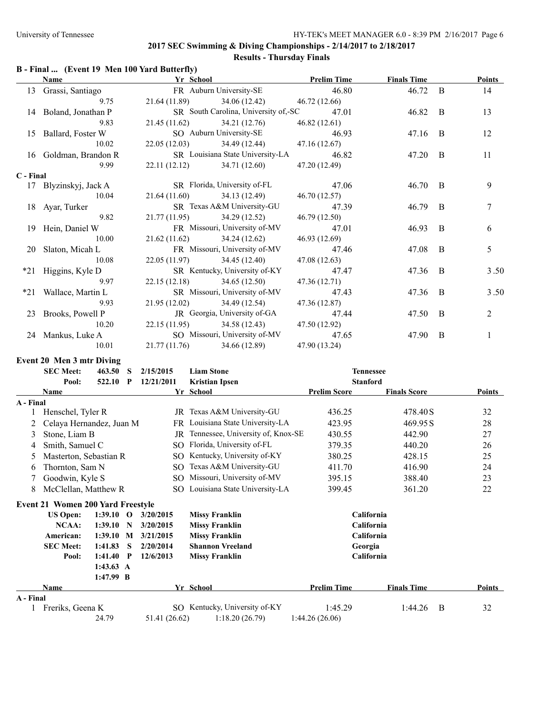## **B - Final ... (Event 19 Men 100 Yard Butterfly)**

|           | Name                  | Yr School                     |                                           | <b>Prelim Time</b> | <b>Finals Time</b> |                | <b>Points</b>  |
|-----------|-----------------------|-------------------------------|-------------------------------------------|--------------------|--------------------|----------------|----------------|
| 13        | Grassi, Santiago      |                               | FR Auburn University-SE                   | 46.80              | 46.72 B            |                | 14             |
|           | 9.75                  | 21.64 (11.89) 34.06 (12.42)   |                                           | 46.72 (12.66)      |                    |                |                |
|           | 14 Boland, Jonathan P |                               | SR South Carolina, University of,-SC      | 47.01              | 46.82              | $\overline{B}$ | 13             |
|           | 9.83                  |                               | 21.45 (11.62) 34.21 (12.76)               | 46.82(12.61)       |                    |                |                |
|           | 15 Ballard, Foster W  |                               | SO Auburn University-SE                   | 46.93              | 47.16 B            |                | 12             |
|           | 10.02                 |                               | 22.05 (12.03) 34.49 (12.44) 47.16 (12.67) |                    |                    |                |                |
|           | 16 Goldman, Brandon R |                               | SR Louisiana State University-LA          | 46.82              | 47.20              | <sup>B</sup>   | 11             |
|           | 9.99                  |                               | 22.11 (12.12) 34.71 (12.60)               | 47.20 (12.49)      |                    |                |                |
| C - Final |                       |                               |                                           |                    |                    |                |                |
|           | 17 Blyzinskyj, Jack A |                               | SR Florida, University of-FL              | 47.06              | 46.70 B            |                | 9              |
|           | 10.04                 |                               | 21.64 (11.60) 34.13 (12.49)               | 46.70 (12.57)      |                    |                |                |
|           | 18 Ayar, Turker       |                               | SR Texas A&M University-GU                | 47.39              | 46.79              | B              | 7              |
|           | 9.82                  | $21.77(11.95)$ $34.29(12.52)$ |                                           | 46.79 (12.50)      |                    |                |                |
|           | 19 Hein, Daniel W     |                               | FR Missouri, University of-MV             | 47.01              | 46.93              | B              | 6              |
|           | 10.00                 | $21.62(11.62)$ $34.24(12.62)$ |                                           | 46.93 (12.69)      |                    |                |                |
|           | 20 Slaton, Micah L    |                               | FR Missouri, University of-MV             | 47.46              | 47.08              | $\overline{B}$ | 5              |
|           | 10.08                 | 22.05 (11.97) 34.45 (12.40)   |                                           | 47.08 (12.63)      |                    |                |                |
|           | *21 Higgins, Kyle D   |                               | SR Kentucky, University of-KY             | 47.47              | 47.36              | $\overline{B}$ | 3.50           |
|           | 9.97                  | 22.15 (12.18) 34.65 (12.50)   |                                           | 47.36 (12.71)      |                    |                |                |
|           | *21 Wallace, Martin L |                               | SR Missouri, University of-MV             | 47.43              | 47.36              | B              | 3.50           |
|           | 9.93                  | 21.95 (12.02) 34.49 (12.54)   |                                           | 47.36 (12.87)      |                    |                |                |
|           | 23 Brooks, Powell P   |                               | JR Georgia, University of-GA              | 47.44              | 47.50              | B              | $\overline{2}$ |
|           | 10.20                 |                               | 22.15 (11.95) 34.58 (12.43) 47.50 (12.92) |                    |                    |                |                |
|           | 24 Mankus, Luke A     |                               | SO Missouri, University of-MV             | 47.65              | 47.90              | B              | $\mathbf{1}$   |
|           | 10.01                 |                               | 21.77 (11.76) 34.66 (12.89)               | 47.90 (13.24)      |                    |                |                |
|           |                       |                               |                                           |                    |                    |                |                |

#### **Event 20 Men 3 mtr Diving**

|           | <b>SEC Meet:</b><br>463.50<br>S          |                     | <b>Liam Stone</b><br>2/15/2015 |               |                                   | <b>Tennessee</b>    |                     |               |
|-----------|------------------------------------------|---------------------|--------------------------------|---------------|-----------------------------------|---------------------|---------------------|---------------|
|           | Pool:                                    | 522.10              | P                              | 12/21/2011    | <b>Kristian Ipsen</b>             | <b>Stanford</b>     |                     |               |
|           | <b>Name</b>                              |                     |                                |               | Yr School                         | <b>Prelim Score</b> | <b>Finals Score</b> | Points        |
| A - Final |                                          |                     |                                |               |                                   |                     |                     |               |
|           | Henschel, Tyler R                        |                     |                                |               | JR Texas A&M University-GU        | 436.25              | 478.40 S            | 32            |
| 2         | Celaya Hernandez, Juan M                 |                     |                                |               | FR Louisiana State University-LA  | 423.95              | 469.95 S            | 28            |
| 3         | Stone, Liam B                            |                     |                                | JR            | Tennessee, University of, Knox-SE | 430.55              | 442.90              | 27            |
| 4         | Smith, Samuel C                          |                     |                                | SO.           | Florida, University of-FL         | 379.35              | 440.20              | 26            |
| 5         | Masterton, Sebastian R                   |                     |                                | SO.           | Kentucky, University of-KY        | 380.25              | 428.15              | 25            |
| 6         | Thornton, Sam N                          |                     |                                | SO.           | Texas A&M University-GU           | 411.70              | 416.90              | 24            |
|           | Goodwin, Kyle S                          |                     |                                | SO.           | Missouri, University of-MV        | 395.15              | 388.40              | 23            |
| 8         | McClellan, Matthew R                     |                     |                                | SO.           | Louisiana State University-LA     | 399.45              | 361.20              | 22            |
|           | <b>Event 21 Women 200 Yard Freestyle</b> |                     |                                |               |                                   |                     |                     |               |
|           | <b>US Open:</b>                          | 1:39.10             | $\mathbf 0$                    | 3/20/2015     | <b>Missy Franklin</b>             |                     | California          |               |
|           | <b>NCAA:</b>                             | 1:39.10             | N                              | 3/20/2015     | <b>Missy Franklin</b>             |                     | California          |               |
|           | American:                                | 1:39.10             | M                              | 3/21/2015     | <b>Missy Franklin</b>             |                     | California          |               |
|           | <b>SEC Meet:</b>                         | 1:41.83             | S                              | 2/20/2014     | <b>Shannon Vreeland</b>           | Georgia             |                     |               |
|           | Pool:                                    | 1:41.40             | $\mathbf P$                    | 12/6/2013     | <b>Missy Franklin</b>             |                     | California          |               |
|           |                                          | $1:43.63 \text{ A}$ |                                |               |                                   |                     |                     |               |
|           |                                          | $1:47.99$ B         |                                |               |                                   |                     |                     |               |
|           | <b>Name</b>                              |                     |                                |               | Yr School                         | <b>Prelim Time</b>  | <b>Finals Time</b>  | <b>Points</b> |
| A - Final |                                          |                     |                                |               |                                   |                     |                     |               |
|           | Freriks, Geena K                         |                     |                                |               | SO Kentucky, University of-KY     | 1:45.29             | 1:44.26<br>B        | 32            |
|           |                                          | 24.79               |                                | 51.41 (26.62) | 1:18.20(26.79)                    | 1:44.26(26.06)      |                     |               |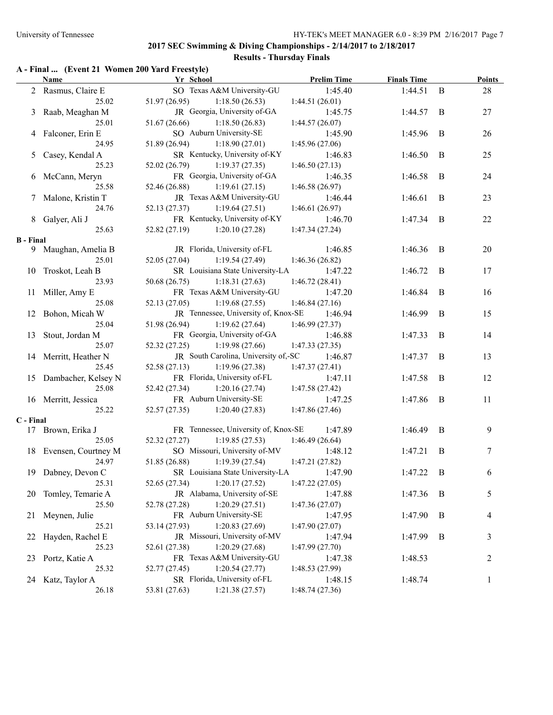## **A - Final ... (Event 21 Women 200 Yard Freestyle)**

|                  | Name                     | Yr School                            | <b>Prelim Time</b> | <b>Finals Time</b> |   | <b>Points</b> |
|------------------|--------------------------|--------------------------------------|--------------------|--------------------|---|---------------|
|                  | 2 Rasmus, Claire E       | SO Texas A&M University-GU           | 1:45.40            | 1:44.51            | B | 28            |
|                  | 25.02                    | 51.97(26.95)<br>1:18.50(26.53)       | 1:44.51(26.01)     |                    |   |               |
|                  | 3 Raab, Meaghan M        | JR Georgia, University of-GA         | 1:45.75            | 1:44.57            | B | 27            |
|                  | 25.01                    | 51.67 (26.66)<br>1:18.50(26.83)      | 1:44.57(26.07)     |                    |   |               |
|                  | 4 Falconer, Erin E       | SO Auburn University-SE              | 1:45.90            | 1:45.96            | B | 26            |
|                  | 24.95                    | 51.89 (26.94)<br>1:18.90(27.01)      | 1:45.96(27.06)     |                    |   |               |
| 5                | Casey, Kendal A          | SR Kentucky, University of-KY        | 1:46.83            | 1:46.50            | B | 25            |
|                  | 25.23                    | 52.02 (26.79)<br>1:19.37(27.35)      | 1:46.50(27.13)     |                    |   |               |
| 6                | McCann, Meryn            | FR Georgia, University of-GA         | 1:46.35            | 1:46.58            | B | 24            |
|                  | 25.58                    | 52.46 (26.88)<br>1:19.61(27.15)      | 1:46.58(26.97)     |                    |   |               |
| 7                | Malone, Kristin T        | JR Texas A&M University-GU           | 1:46.44            | 1:46.61            | B | 23            |
|                  | 24.76                    | 52.13 (27.37)<br>1:19.64(27.51)      | 1:46.61(26.97)     |                    |   |               |
|                  | 8 Galyer, Ali J          | FR Kentucky, University of-KY        | 1:46.70            | 1:47.34            | B | 22            |
|                  | 25.63                    | 52.82 (27.19)<br>1:20.10(27.28)      | 1:47.34(27.24)     |                    |   |               |
| <b>B</b> - Final |                          |                                      |                    |                    |   |               |
|                  | 9 Maughan, Amelia B      | JR Florida, University of-FL         | 1:46.85            | 1:46.36            | B | 20            |
|                  | 25.01                    | 52.05 (27.04)<br>1:19.54(27.49)      | 1:46.36(26.82)     |                    |   |               |
|                  | 10 Troskot, Leah B       | SR Louisiana State University-LA     | 1:47.22            | 1:46.72            | B | 17            |
|                  | 23.93                    | 50.68(26.75)<br>1:18.31(27.63)       | 1:46.72(28.41)     |                    |   |               |
|                  | 11 Miller, Amy E         | FR Texas A&M University-GU           | 1:47.20            | 1:46.84            | B | 16            |
|                  | 25.08                    | 1:19.68(27.55)<br>52.13 (27.05)      | 1:46.84(27.16)     |                    |   |               |
|                  | 12 Bohon, Micah W        | JR Tennessee, University of, Knox-SE | 1:46.94            | 1:46.99            | B | 15            |
|                  | 25.04                    | 51.98 (26.94)<br>1:19.62(27.64)      | 1:46.99(27.37)     |                    |   |               |
| 13               |                          | FR Georgia, University of-GA         | 1:46.88            | 1:47.33            | B | 14            |
|                  | Stout, Jordan M<br>25.07 | 52.32(27.25)<br>1:19.98(27.66)       | 1:47.33(27.35)     |                    |   |               |
|                  |                          | JR South Carolina, University of,-SC |                    |                    | B | 13            |
|                  | 14 Merritt, Heather N    |                                      | 1:46.87            | 1:47.37            |   |               |
|                  | 25.45                    | 52.58(27.13)<br>1:19.96(27.38)       | 1:47.37(27.41)     |                    |   |               |
|                  | 15 Dambacher, Kelsey N   | FR Florida, University of-FL         | 1:47.11            | 1:47.58            | B | 12            |
|                  | 25.08                    | 1:20.16(27.74)<br>52.42 (27.34)      | 1:47.58(27.42)     |                    |   |               |
|                  | 16 Merritt, Jessica      | FR Auburn University-SE              | 1:47.25            | 1:47.86            | B | 11            |
|                  | 25.22                    | $52.57(27.35)$ $1:20.40(27.83)$      | 1:47.86(27.46)     |                    |   |               |
| C - Final        |                          | FR Tennessee, University of, Knox-SE |                    |                    |   |               |
|                  | 17 Brown, Erika J        |                                      | 1:47.89            | 1:46.49            | B | 9             |
|                  | 25.05                    | 52.32 (27.27)<br>1:19.85(27.53)      | 1:46.49(26.64)     |                    |   |               |
|                  | 18 Evensen, Courtney M   | SO Missouri, University of-MV        | 1:48.12            | 1:47.21            | B | 7             |
|                  | 24.97                    | 51.85 (26.88)<br>1:19.39(27.54)      | 1:47.21(27.82)     |                    |   |               |
|                  | 19 Dabney, Devon C       | SR Louisiana State University-LA     | 1:47.90            | 1:47.22            | B | 6             |
|                  | 25.31                    | 52.65 (27.34)<br>1:20.17(27.52)      | 1:47.22 (27.05)    |                    |   |               |
| 20               | Tomley, Temarie A        | JR Alabama, University of-SE         | 1:47.88            | 1:47.36            | B | 5             |
|                  | 25.50                    | 52.78 (27.28)<br>1:20.29(27.51)      | 1:47.36(27.07)     |                    |   |               |
| 21               | Meynen, Julie            | FR Auburn University-SE              | 1:47.95            | 1:47.90            | B | 4             |
|                  | 25.21                    | 53.14 (27.93)<br>1:20.83(27.69)      | 1:47.90(27.07)     |                    |   |               |
| 22               | Hayden, Rachel E         | JR Missouri, University of-MV        | 1:47.94            | 1:47.99            | B | 3             |
|                  | 25.23                    | 1:20.29(27.68)<br>52.61 (27.38)      | 1:47.99(27.70)     |                    |   |               |
| 23               | Portz, Katie A           | FR Texas A&M University-GU           | 1:47.38            | 1:48.53            |   | 2             |
|                  | 25.32                    | 1:20.54(27.77)<br>52.77 (27.45)      | 1:48.53 (27.99)    |                    |   |               |
|                  | 24 Katz, Taylor A        | SR Florida, University of-FL         | 1:48.15            | 1:48.74            |   | $\mathbf{1}$  |
|                  | 26.18                    | 53.81 (27.63)<br>1:21.38(27.57)      | 1:48.74(27.36)     |                    |   |               |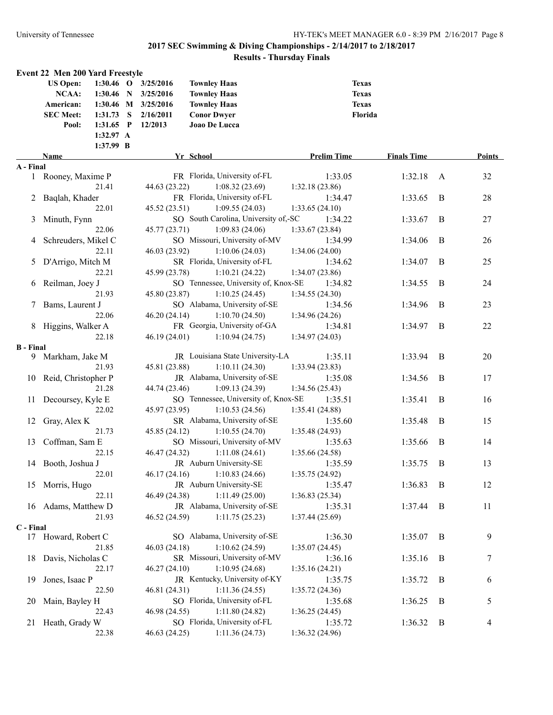|                  | <b>Event 22 Men 200 Yard Freestyle</b> |             |                     |                                      |                    |                    |                |        |
|------------------|----------------------------------------|-------------|---------------------|--------------------------------------|--------------------|--------------------|----------------|--------|
|                  | <b>US Open:</b>                        | $1:30.46$ O | 3/25/2016           | <b>Townley Haas</b>                  | <b>Texas</b>       |                    |                |        |
|                  | NCAA:                                  | $1:30.46$ N | 3/25/2016           | <b>Townley Haas</b>                  |                    | <b>Texas</b>       |                |        |
|                  | American:                              |             | 1:30.46 M 3/25/2016 | <b>Townley Haas</b>                  |                    | <b>Texas</b>       |                |        |
|                  | <b>SEC Meet:</b>                       | $1:31.73$ S | 2/16/2011           | <b>Conor Dwyer</b>                   |                    | Florida            |                |        |
|                  | Pool:                                  | $1:31.65$ P | 12/2013             | Joao De Lucca                        |                    |                    |                |        |
|                  |                                        | 1:32.97 A   |                     |                                      |                    |                    |                |        |
|                  |                                        | 1:37.99 B   |                     |                                      |                    |                    |                |        |
|                  | Name                                   |             |                     | Yr School                            | <b>Prelim Time</b> | <b>Finals Time</b> |                | Points |
| A - Final        |                                        |             |                     |                                      |                    |                    |                |        |
|                  | 1 Rooney, Maxime P                     |             |                     | FR Florida, University of-FL         | 1:33.05            | 1:32.18            | A              | 32     |
|                  |                                        | 21.41       | 44.63 (23.22)       | 1:08.32(23.69)                       | 1:32.18(23.86)     |                    |                |        |
| 2                | Baqlah, Khader                         |             |                     | FR Florida, University of-FL         | 1:34.47            | 1:33.65            | B              | 28     |
|                  |                                        | 22.01       | 45.52(23.51)        | 1:09.55(24.03)                       | 1:33.65(24.10)     |                    |                |        |
| 3                | Minuth, Fynn                           |             |                     | SO South Carolina, University of,-SC | 1:34.22            | 1:33.67            | B              | 27     |
|                  |                                        | 22.06       | 45.77 (23.71)       | 1:09.83(24.06)                       | 1:33.67 (23.84)    |                    |                |        |
| 4                | Schreuders, Mikel C                    |             |                     | SO Missouri, University of-MV        | 1:34.99            | 1:34.06            | B              | 26     |
|                  |                                        | 22.11       | 46.03 (23.92)       | 1:10.06(24.03)                       | 1:34.06(24.00)     |                    |                |        |
| 5                | D'Arrigo, Mitch M                      |             |                     | SR Florida, University of-FL         | 1:34.62            | 1:34.07            | B              | 25     |
|                  |                                        | 22.21       | 45.99 (23.78)       | 1:10.21(24.22)                       | 1:34.07(23.86)     |                    |                |        |
| 6                | Reilman, Joey J                        |             |                     | SO Tennessee, University of, Knox-SE | 1:34.82            | 1:34.55            | B              | 24     |
|                  |                                        | 21.93       | 45.80 (23.87)       | 1:10.25(24.45)                       | 1:34.55(24.30)     |                    |                |        |
| 7                | Bams, Laurent J                        |             |                     | SO Alabama, University of-SE         | 1:34.56            | 1:34.96            | B              | 23     |
|                  |                                        | 22.06       | 46.20(24.14)        | 1:10.70(24.50)                       | 1:34.96(24.26)     |                    |                |        |
|                  | 8 Higgins, Walker A                    |             |                     | FR Georgia, University of-GA         | 1:34.81            | 1:34.97            | B              | 22     |
|                  |                                        | 22.18       | 46.19(24.01)        | 1:10.94(24.75)                       | 1:34.97(24.03)     |                    |                |        |
| <b>B</b> - Final |                                        |             |                     |                                      |                    |                    |                |        |
|                  | 9 Markham, Jake M                      |             |                     | JR Louisiana State University-LA     | 1:35.11            | 1:33.94            | B              | 20     |
|                  |                                        | 21.93       | 45.81 (23.88)       | 1:10.11(24.30)                       | 1:33.94(23.83)     |                    |                |        |
|                  | 10 Reid, Christopher P                 |             |                     | JR Alabama, University of-SE         | 1:35.08            | 1:34.56            | B              | 17     |
|                  |                                        | 21.28       | 44.74 (23.46)       | 1:09.13(24.39)                       | 1:34.56(25.43)     |                    |                |        |
|                  | 11 Decoursey, Kyle E                   |             |                     | SO Tennessee, University of, Knox-SE | 1:35.51            | 1:35.41            | B              | 16     |
|                  |                                        | 22.02       | 45.97 (23.95)       | 1:10.53(24.56)                       | 1:35.41(24.88)     |                    |                |        |
|                  | 12 Gray, Alex K                        |             |                     | SR Alabama, University of-SE         | 1:35.60            | 1:35.48            | B              | 15     |
|                  |                                        | 21.73       | 45.85 (24.12)       | 1:10.55(24.70)                       | 1:35.48 (24.93)    |                    |                |        |
| 13               | Coffman, Sam E                         |             |                     | SO Missouri, University of-MV        | 1:35.63            | 1:35.66            | B              | 14     |
|                  |                                        | 22.15       | 46.47 (24.32)       | 1:11.08(24.61)                       | 1:35.66(24.58)     |                    |                |        |
|                  | 14 Booth, Joshua J                     |             |                     | JR Auburn University-SE              | 1:35.59            | 1:35.75            | B              | 13     |
|                  |                                        | 22.01       |                     | 46.17 (24.16) 1:10.83 (24.66)        | 1:35.75(24.92)     |                    |                |        |
|                  | 15 Morris, Hugo                        |             |                     | JR Auburn University-SE              | 1:35.47            | 1:36.83            | $\overline{B}$ | 12     |
|                  |                                        | 22.11       | 46.49 (24.38)       | 1:11.49(25.00)                       | 1:36.83(25.34)     |                    |                |        |
|                  | 16 Adams, Matthew D                    |             |                     | JR Alabama, University of-SE         | 1:35.31            | 1:37.44            | $\overline{B}$ | 11     |
|                  |                                        | 21.93       | 46.52 (24.59)       | 1:11.75(25.23)                       | 1:37.44(25.69)     |                    |                |        |
| C - Final        |                                        |             |                     |                                      |                    |                    |                |        |
|                  | 17 Howard, Robert C                    |             |                     | SO Alabama, University of-SE         | 1:36.30            | $1:35.07$ B        |                | 9      |
|                  |                                        | 21.85       | 46.03 (24.18)       | 1:10.62(24.59)                       | 1:35.07(24.45)     |                    |                |        |
| 18               | Davis, Nicholas C                      |             |                     | SR Missouri, University of-MV        | 1:36.16            | 1:35.16            | B              | 7      |
|                  |                                        | 22.17       | 46.27 (24.10)       | 1:10.95(24.68)                       | 1:35.16(24.21)     |                    |                |        |
| 19               | Jones, Isaac P                         |             |                     | JR Kentucky, University of-KY        | 1:35.75            | 1:35.72            | B              | 6      |
|                  |                                        | 22.50       | 46.81 (24.31)       | 1:11.36(24.55)                       | 1:35.72(24.36)     |                    |                |        |
| 20               | Main, Bayley H                         |             |                     | SO Florida, University of-FL         | 1:35.68            | 1:36.25            | B              | 5      |
|                  |                                        | 22.43       | 46.98 (24.55)       | 1:11.80(24.82)                       | 1:36.25(24.45)     |                    |                |        |
|                  | 21 Heath, Grady W                      |             |                     | SO Florida, University of-FL         | 1:35.72            | $1:36.32$ B        |                | 4      |
|                  |                                        | 22.38       | 46.63 (24.25)       | 1:11.36(24.73)                       | 1:36.32 (24.96)    |                    |                |        |